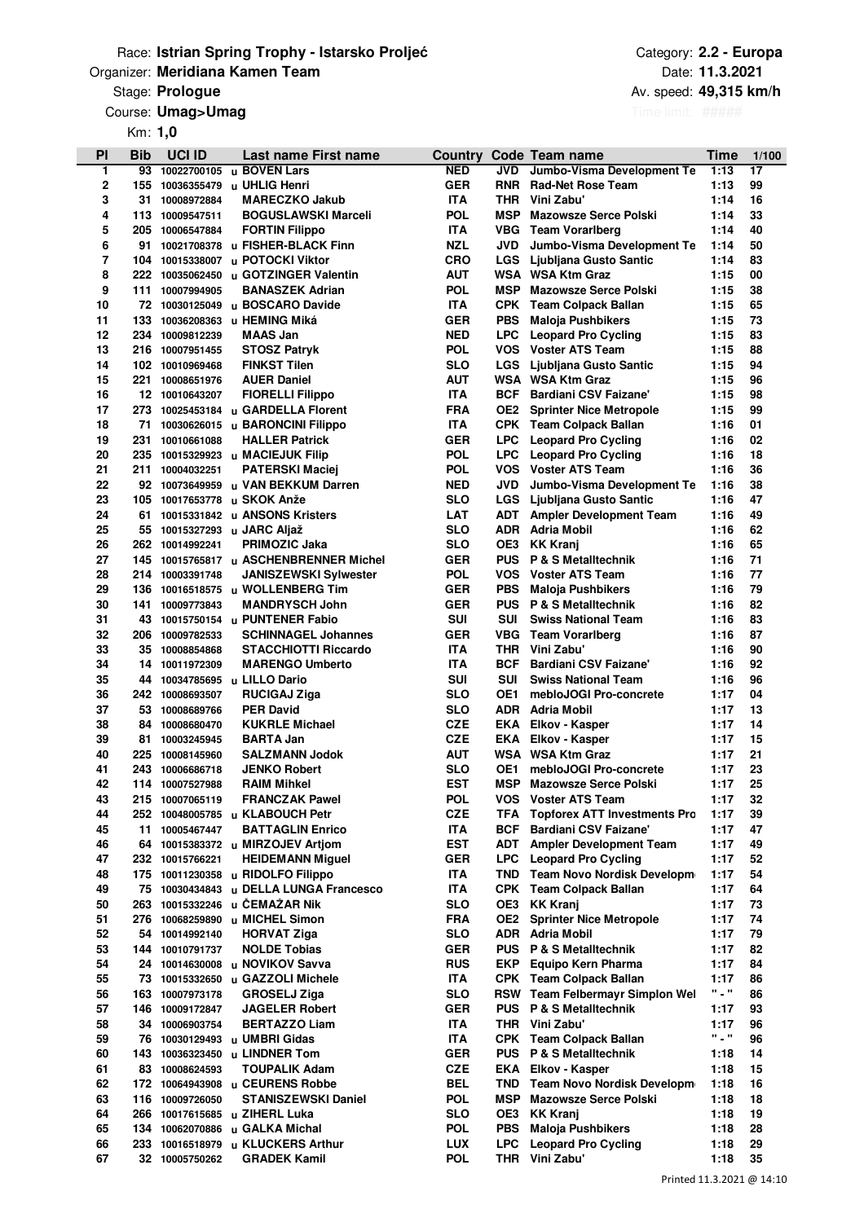### **Organizer: Meridiana Kamen Team** Date: **Discription of the Contract Organizer: Date:** Date: Race: **Istrian Spring Trophy - Istarsko Proljeće**

**Prologue Av. speed: Av. speed: Av. speed: Av. speed: Av. speed: Av. speed: Av. speed:** 

Course: Umag>Umag

Km: **1,0**

| PI       | Bib       | <b>UCI ID</b>                  | Last name First name                                               | <b>Country</b>           |                          | Code Team name                                       | Time                   | 1/100    |
|----------|-----------|--------------------------------|--------------------------------------------------------------------|--------------------------|--------------------------|------------------------------------------------------|------------------------|----------|
| 1        | 93        | 10022700105                    | u BOVEN Lars                                                       | NED                      | JVD                      | Jumbo-Visma Development Te                           | 1:13                   | 17       |
| 2        | 155       | 10036355479                    | u UHLIG Henri                                                      | <b>GER</b>               | <b>RNR</b>               | <b>Rad-Net Rose Team</b>                             | 1:13                   | 99       |
| 3<br>4   | 31<br>113 | 10008972884<br>10009547511     | <b>MARECZKO Jakub</b><br><b>BOGUSLAWSKI Marceli</b>                | <b>ITA</b><br><b>POL</b> | <b>THR</b><br><b>MSP</b> | Vini Zabu'<br><b>Mazowsze Serce Polski</b>           | 1:14<br>1:14           | 16<br>33 |
| 5        | 205       | 10006547884                    | <b>FORTIN Filippo</b>                                              | <b>ITA</b>               |                          | <b>VBG</b> Team Vorarlberg                           | 1:14                   | 40       |
| 6        | 91        |                                | 10021708378 u FISHER-BLACK Finn                                    | <b>NZL</b>               | <b>JVD</b>               | Jumbo-Visma Development Te                           | 1:14                   | 50       |
| 7        | 104       |                                | 10015338007 u POTOCKI Viktor                                       | <b>CRO</b>               | LGS                      | Ljubljana Gusto Santic                               | 1:14                   | 83       |
| 8        | 222       | 10035062450                    | u GOTZINGER Valentin                                               | AUT                      |                          | <b>WSA WSA Ktm Graz</b>                              | 1:15                   | 00       |
| 9        |           | 111 10007994905                | <b>BANASZEK Adrian</b>                                             | <b>POL</b>               | <b>MSP</b>               | <b>Mazowsze Serce Polski</b>                         | 1:15                   | 38       |
| 10       |           |                                | 72 10030125049 u BOSCARO Davide                                    | <b>ITA</b>               |                          | <b>CPK</b> Team Colpack Ballan                       | 1:15                   | 65       |
| 11       | 133       |                                | 10036208363 u HEMING Miká                                          | GER                      | <b>PBS</b>               | <b>Maloja Pushbikers</b>                             | 1:15                   | 73       |
| 12       |           | 234 10009812239                | <b>MAAS Jan</b>                                                    | <b>NED</b>               | <b>LPC</b>               | <b>Leopard Pro Cycling</b>                           | 1:15                   | 83       |
| 13       | 216       | 10007951455                    | <b>STOSZ Patryk</b>                                                | <b>POL</b>               | <b>VOS</b>               | <b>Voster ATS Team</b>                               | 1:15                   | 88       |
| 14<br>15 | 221       | 102 10010969468<br>10008651976 | <b>FINKST Tilen</b><br><b>AUER Daniel</b>                          | SLO<br>AUT               | <b>LGS</b>               | Ljubljana Gusto Santic<br><b>WSA WSA Ktm Graz</b>    | 1:15<br>1:15           | 94<br>96 |
| 16       |           | 12 10010643207                 | <b>FIORELLI Filippo</b>                                            | <b>ITA</b>               | <b>BCF</b>               | <b>Bardiani CSV Faizane'</b>                         | 1:15                   | 98       |
| 17       | 273       |                                | 10025453184 u GARDELLA Florent                                     | <b>FRA</b>               | OE2                      | <b>Sprinter Nice Metropole</b>                       | 1:15                   | 99       |
| 18       | 71        |                                | 10030626015 u BARONCINI Filippo                                    | <b>ITA</b>               |                          | <b>CPK</b> Team Colpack Ballan                       | 1:16                   | 01       |
| 19       | 231       | 10010661088                    | <b>HALLER Patrick</b>                                              | <b>GER</b>               | <b>LPC</b>               | <b>Leopard Pro Cycling</b>                           | 1:16                   | 02       |
| 20       |           |                                | 235 10015329923 u MACIEJUK Filip                                   | <b>POL</b>               | <b>LPC</b>               | <b>Leopard Pro Cycling</b>                           | 1:16                   | 18       |
| 21       | 211       | 10004032251                    | <b>PATERSKI Maciej</b>                                             | <b>POL</b>               | <b>VOS</b>               | <b>Voster ATS Team</b>                               | 1:16                   | 36       |
| 22       |           | 92 10073649959                 | u VAN BEKKUM Darren                                                | <b>NED</b>               | <b>JVD</b>               | Jumbo-Visma Development Te                           | 1:16                   | 38       |
| 23       | 105       | 10017653778                    | u SKOK Anže                                                        | SLO                      | LGS                      | Ljubljana Gusto Santic                               | 1:16                   | 47       |
| 24       | 61        |                                | 10015331842 u ANSONS Kristers                                      | <b>LAT</b>               | <b>ADT</b>               | <b>Ampler Development Team</b>                       | 1:16                   | 49       |
| 25       | 55        |                                | 10015327293 u JARC Aljaž                                           | SLO                      | ADR                      | Adria Mobil                                          | 1:16                   | 62       |
| 26       | 262       | 10014992241                    | PRIMOZIC Jaka                                                      | SLO                      | OE3                      | KK Kranj                                             | 1:16                   | 65       |
| 27       | 145       |                                | 10015765817 u ASCHENBRENNER Michel                                 | <b>GER</b>               | <b>PUS</b>               | <b>P &amp; S Metalltechnik</b>                       | 1:16                   | 71<br>77 |
| 28<br>29 | 136       | 214 10003391748                | <b>JANISZEWSKI Sylwester</b><br>10016518575 u WOLLENBERG Tim       | <b>POL</b><br><b>GER</b> | <b>VOS</b><br><b>PBS</b> | <b>Voster ATS Team</b><br>Maloja Pushbikers          | 1:16<br>1:16           | 79       |
| 30       | 141       | 10009773843                    | <b>MANDRYSCH John</b>                                              | <b>GER</b>               | <b>PUS</b>               | <b>P &amp; S Metalltechnik</b>                       | 1:16                   | 82       |
| 31       | 43        |                                | 10015750154 u PUNTENER Fabio                                       | SUI                      | <b>SUI</b>               | <b>Swiss National Team</b>                           | 1:16                   | 83       |
| 32       | 206       | 10009782533                    | <b>SCHINNAGEL Johannes</b>                                         | <b>GER</b>               | <b>VBG</b>               | <b>Team Vorarlberg</b>                               | 1:16                   | 87       |
| 33       | 35        | 10008854868                    | <b>STACCHIOTTI Riccardo</b>                                        | <b>ITA</b>               | <b>THR</b>               | Vini Zabu'                                           | 1:16                   | 90       |
| 34       | 14        | 10011972309                    | <b>MARENGO Umberto</b>                                             | <b>ITA</b>               | BCF                      | <b>Bardiani CSV Faizane'</b>                         | 1:16                   | 92       |
| 35       | 44        |                                | 10034785695 u LILLO Dario                                          | SUI                      | <b>SUI</b>               | <b>Swiss National Team</b>                           | 1:16                   | 96       |
| 36       | 242       | 10008693507                    | <b>RUCIGAJ Ziga</b>                                                | SLO                      | OE1                      | mebloJOGI Pro-concrete                               | 1:17                   | 04       |
| 37       | 53        | 10008689766                    | <b>PER David</b>                                                   | SLO                      | ADR                      | Adria Mobil                                          | 1:17                   | 13       |
| 38       | 84        | 10008680470                    | <b>KUKRLE Michael</b>                                              | <b>CZE</b>               | <b>EKA</b>               | Elkov - Kasper                                       | 1:17                   | 14       |
| 39       | 81        | 10003245945                    | <b>BARTA Jan</b>                                                   | <b>CZE</b>               |                          | <b>EKA</b> Elkov - Kasper                            | 1:17                   | 15       |
| 40       | 225       | 10008145960                    | <b>SALZMANN Jodok</b><br><b>JENKO Robert</b>                       | AUT                      |                          | <b>WSA WSA Ktm Graz</b><br>mebloJOGI Pro-concrete    | 1:17                   | 21<br>23 |
| 41<br>42 | 243       | 10006686718<br>114 10007527988 | <b>RAIM Mihkel</b>                                                 | SLO<br><b>EST</b>        | OE1<br><b>MSP</b>        | <b>Mazowsze Serce Polski</b>                         | 1:17<br>1:17           | 25       |
| 43       |           | 215 10007065119                | <b>FRANCZAK Pawel</b>                                              | <b>POL</b>               |                          | VOS Voster ATS Team                                  | 1:17                   | 32       |
| 44       |           |                                | 252 10048005785 u KLABOUCH Petr                                    | <b>CZE</b>               | TFA                      | <b>Topforex ATT Investments Pro</b>                  | 1:17                   | 39       |
| 45       | 11        | 10005467447                    | <b>BATTAGLIN Enrico</b>                                            | <b>ITA</b>               | BCF                      | <b>Bardiani CSV Faizane'</b>                         | 1:17                   | 47       |
| 46       | 64        |                                | 10015383372 u MIRZOJEV Artiom                                      | <b>EST</b>               | ADT                      | <b>Ampler Development Team</b>                       | 1:17                   | 49       |
| 47       |           | 232 10015766221                | <b>HEIDEMANN Miguel</b>                                            | <b>GER</b>               | <b>LPC</b>               | <b>Leopard Pro Cycling</b>                           | 1:17                   | 52       |
| 48       |           |                                | 175 10011230358 u RIDOLFO Filippo                                  | <b>ITA</b>               | TND                      | Team Novo Nordisk Developm                           | 1:17                   | 54       |
| 49       | 75        | 10030434843                    | u DELLA LUNGA Francesco                                            | <b>ITA</b>               | CPK                      | <b>Team Colpack Ballan</b>                           | 1:17                   | 64       |
| 50       |           |                                | 263 10015332246 u ČEMAŽAR Nik                                      | SLO                      | OE3                      | <b>KK Kranj</b>                                      | 1:17                   | 73       |
| 51       |           | 276 10068259890                | u MICHEL Simon                                                     | <b>FRA</b>               | OE2                      | <b>Sprinter Nice Metropole</b>                       | 1:17                   | 74       |
| 52       |           | 54 10014992140                 | <b>HORVAT Ziga</b>                                                 | SLO                      |                          | <b>ADR</b> Adria Mobil                               | 1:17                   | 79       |
| 53       |           | 144 10010791737                | <b>NOLDE Tobias</b>                                                | <b>GER</b>               | <b>PUS</b>               | <b>P &amp; S Metalltechnik</b>                       | 1:17                   | 82       |
| 54<br>55 |           |                                | 24 10014630008 u NOVIKOV Savva<br>73 10015332650 u GAZZOLI Michele | <b>RUS</b><br><b>ITA</b> | <b>EKP</b>               | Equipo Kern Pharma<br><b>CPK</b> Team Colpack Ballan | 1:17<br>1:17           | 84<br>86 |
| 56       |           | 163 10007973178                | <b>GROSELJ Ziga</b>                                                | <b>SLO</b>               |                          | RSW Team Felbermayr Simplon Wel                      | n _ n                  | 86       |
| 57       |           | 146 10009172847                | <b>JAGELER Robert</b>                                              | GER                      | <b>PUS</b>               | <b>P &amp; S Metalltechnik</b>                       | 1:17                   | 93       |
| 58       |           | 34 10006903754                 | <b>BERTAZZO Liam</b>                                               | <b>ITA</b>               |                          | THR Vini Zabu'                                       | 1:17                   | 96       |
| 59       |           |                                | 76 10030129493 u UMBRI Gidas                                       | <b>ITA</b>               |                          | <b>CPK</b> Team Colpack Ballan                       | $\Omega \equiv \Omega$ | 96       |
| 60       |           |                                | 143 10036323450 u LINDNER Tom                                      | GER                      |                          | <b>PUS P &amp; S Metalltechnik</b>                   | 1:18                   | 14       |
| 61       |           | 83 10008624593                 | <b>TOUPALIK Adam</b>                                               | <b>CZE</b>               |                          | <b>EKA</b> Elkov - Kasper                            | 1:18                   | 15       |
| 62       |           |                                | 172 10064943908 u CEURENS Robbe                                    | BEL                      | TND                      | Team Novo Nordisk Developm                           | 1:18                   | 16       |
| 63       |           | 116 10009726050                | <b>STANISZEWSKI Daniel</b>                                         | <b>POL</b>               | MSP                      | <b>Mazowsze Serce Polski</b>                         | 1:18                   | 18       |
| 64       |           |                                | 266 10017615685 u ZIHERL Luka                                      | SLO                      | OE3                      | <b>KK Kranj</b>                                      | 1:18                   | 19       |
| 65       |           | 134 10062070886                | u GALKA Michal                                                     | <b>POL</b>               | <b>PBS</b>               | <b>Maloja Pushbikers</b>                             | 1:18                   | 28       |
| 66       | 233       |                                | 10016518979 u KLUCKERS Arthur                                      | <b>LUX</b>               | <b>LPC</b>               | <b>Leopard Pro Cycling</b>                           | 1:18                   | 29       |
| 67       |           | 32 10005750262                 | <b>GRADEK Kamil</b>                                                | <b>POL</b>               |                          | THR Vini Zabu'                                       | 1:18                   | 35       |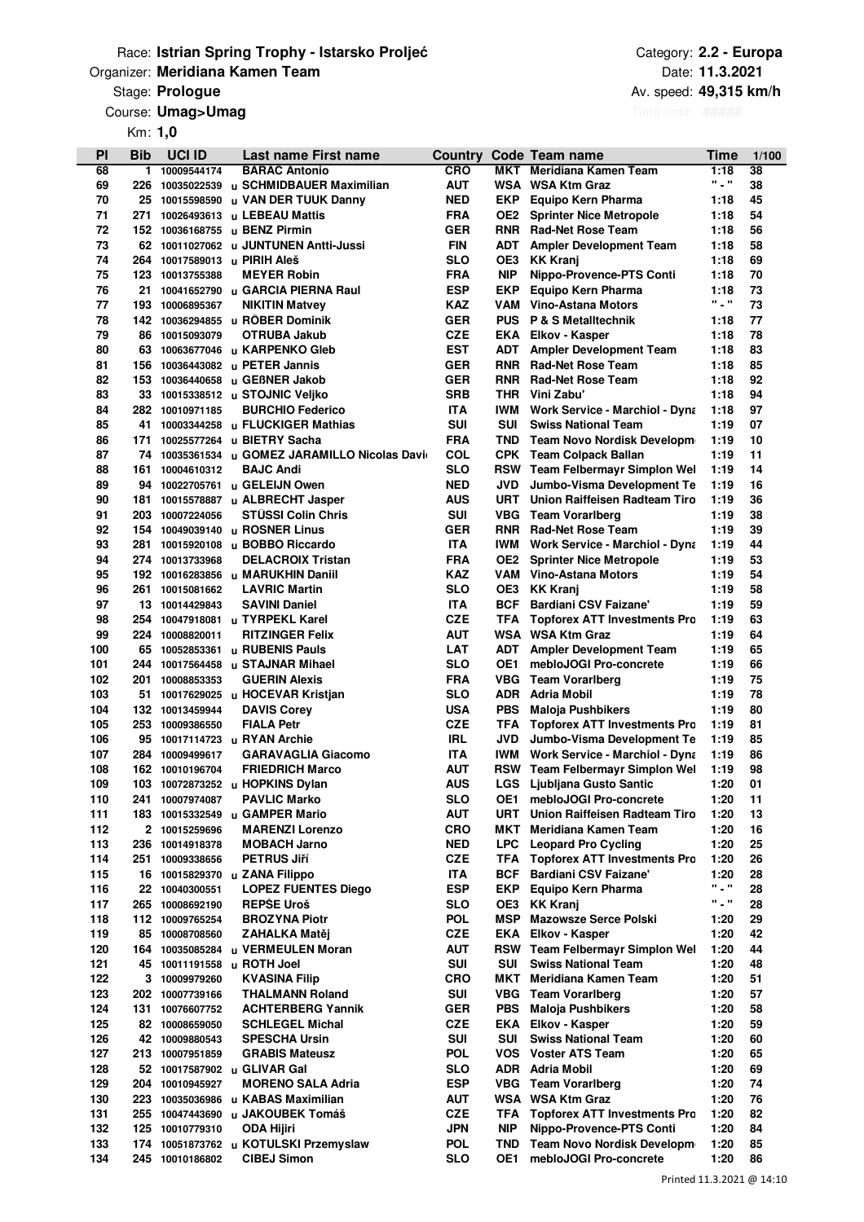### **Organizer: Meridiana Kamen Team** Date: **Discription of the Contract Organizer: Date:** Date: Race: **Istrian Spring Trophy - Istarsko Proljeće**

# **Prologue Av. speed: Av. speed: Av. speed: Av. speed: Av. speed: Av. speed: Av. speed:**

Course: Umag>Umag

Km: **1,0**

Category: **2.2 - Europa 49,315 km/h 11.3.2021**

| PI         | Bib      | <b>UCI ID</b>                      | Last name First name                                               | Country                  |                          | Code Team name                                                    | Time          | 1/100    |
|------------|----------|------------------------------------|--------------------------------------------------------------------|--------------------------|--------------------------|-------------------------------------------------------------------|---------------|----------|
| 68         | 1.       | 10009544174                        | <b>BARAC Antonio</b>                                               | <b>CRO</b>               | MKT                      | Meridiana Kamen Team                                              | 1:18          | 38       |
| 69         | 226      | 10035022539                        | u SCHMIDBAUER Maximilian                                           | <b>AUT</b>               |                          | WSA WSA Ktm Graz                                                  | " = "         | 38       |
| 70         | 25       | 10015598590                        | u VAN DER TUUK Danny                                               | <b>NED</b>               | EKP                      | Equipo Kern Pharma                                                | 1:18          | 45       |
| 71         | 271      | 10026493613                        | u LEBEAU Mattis                                                    | <b>FRA</b>               | OE2                      | <b>Sprinter Nice Metropole</b>                                    | 1:18          | 54       |
| 72<br>73   | 152      | 10036168755                        | u BENZ Pirmin                                                      | <b>GER</b><br><b>FIN</b> | <b>RNR</b>               | <b>Rad-Net Rose Team</b>                                          | 1:18          | 56<br>58 |
| 74         | 264      | 10017589013                        | 62 10011027062 u JUNTUNEN Antti-Jussi<br>u PIRIH Aleš              | SLO                      | ADT<br>OE3               | <b>Ampler Development Team</b><br><b>KK Kranj</b>                 | 1:18<br>1:18  | 69       |
| 75         |          | 123 10013755388                    | <b>MEYER Robin</b>                                                 | <b>FRA</b>               | <b>NIP</b>               | Nippo-Provence-PTS Conti                                          | 1:18          | 70       |
| 76         | 21       |                                    | 10041652790 u GARCIA PIERNA Raul                                   | <b>ESP</b>               | EKP                      | Equipo Kern Pharma                                                | 1:18          | 73       |
| 77         | 193      | 10006895367                        | <b>NIKITIN Matvey</b>                                              | KAZ                      | VAM                      | Vino-Astana Motors                                                | " = "         | 73       |
| 78         |          |                                    | 142 10036294855 u ROBER Dominik                                    | <b>GER</b>               | <b>PUS</b>               | <b>P &amp; S Metalltechnik</b>                                    | 1:18          | 77       |
| 79         | 86       | 10015093079                        | OTRUBA Jakub                                                       | <b>CZE</b>               |                          | <b>EKA</b> Elkov - Kasper                                         | 1:18          | 78       |
| 80         | 63       |                                    | 10063677046 u KARPENKO Gleb                                        | <b>EST</b>               | <b>ADT</b>               | <b>Ampler Development Team</b>                                    | 1:18          | 83       |
| 81         | 156      | 10036443082                        | u PETER Jannis                                                     | <b>GER</b>               | <b>RNR</b>               | <b>Rad-Net Rose Team</b>                                          | 1:18          | 85       |
| 82         |          | 153 10036440658                    | u GEBNER Jakob                                                     | <b>GER</b>               | <b>RNR</b>               | <b>Rad-Net Rose Team</b>                                          | 1:18          | 92       |
| 83         | 33       |                                    | 10015338512 u STOJNIC Veljko                                       | <b>SRB</b>               | <b>THR</b>               | Vini Zabu'                                                        | 1:18          | 94       |
| 84         |          | 282 10010971185                    | <b>BURCHIO Federico</b>                                            | <b>ITA</b>               | IWM                      | <b>Work Service - Marchiol - Dyna</b>                             | 1:18          | 97       |
| 85         | 41       | 10003344258                        | u FLÜCKIGER Mathias                                                | <b>SUI</b>               | <b>SUI</b>               | <b>Swiss National Team</b>                                        | 1:19          | 07       |
| 86         | 171      | 10025577264                        | u BIETRY Sacha                                                     | FRA                      |                          | <b>TND</b> Team Novo Nordisk Developm                             | 1:19          | 10       |
| 87<br>88   | 161      | 10004610312                        | 74 10035361534 u GOMEZ JARAMILLO Nicolas Davir<br><b>BAJC Andi</b> | COL<br>SLO               |                          | <b>CPK</b> Team Colpack Ballan<br>RSW Team Felbermayr Simplon Wel | 1:19<br>1:19  | 11<br>14 |
| 89         | 94       | 10022705761                        | u GELEIJN Owen                                                     | <b>NED</b>               | JVD                      | Jumbo-Visma Development Te                                        | 1:19          | 16       |
| 90         | 181      | 10015578887                        | u ALBRECHT Jasper                                                  | <b>AUS</b>               | <b>URT</b>               | <b>Union Raiffeisen Radteam Tiro</b>                              | 1:19          | 36       |
| 91         | 203      | 10007224056                        | <b>STUSSI Colin Chris</b>                                          | SUI                      | <b>VBG</b>               | <b>Team Vorarlberg</b>                                            | 1:19          | 38       |
| 92         |          | 154 10049039140                    | u ROSNER Linus                                                     | <b>GER</b>               | <b>RNR</b>               | <b>Rad-Net Rose Team</b>                                          | 1:19          | 39       |
| 93         | 281      |                                    | 10015920108 u BOBBO Riccardo                                       | <b>ITA</b>               | IWM                      | <b>Work Service - Marchiol - Dyna</b>                             | 1:19          | 44       |
| 94         |          | 274 10013733968                    | <b>DELACROIX Tristan</b>                                           | <b>FRA</b>               | OE2                      | <b>Sprinter Nice Metropole</b>                                    | 1:19          | 53       |
| 95         |          |                                    | 192 10016283856 u MARUKHIN Daniil                                  | <b>KAZ</b>               | VAM                      | Vino-Astana Motors                                                | 1:19          | 54       |
| 96         | 261      | 10015081662                        | <b>LAVRIC Martin</b>                                               | SLO                      | OE3                      | <b>KK Kranj</b>                                                   | 1:19          | 58       |
| 97         | 13       | 10014429843                        | <b>SAVINI Daniel</b>                                               | <b>ITA</b>               | <b>BCF</b>               | <b>Bardiani CSV Faizane'</b>                                      | 1:19          | 59       |
| 98         | 254      |                                    | 10047918081 u TYRPEKL Karel                                        | <b>CZE</b>               | TFA                      | <b>Topforex ATT Investments Pro</b>                               | 1:19          | 63       |
| 99         | 224      | 10008820011                        | <b>RITZINGER Felix</b>                                             | AUT                      |                          | WSA WSA Ktm Graz                                                  | 1:19          | 64       |
| 100        | 65       | 10052853361                        | u RUBENIS Pauls                                                    | <b>LAT</b>               | <b>ADT</b>               | <b>Ampler Development Team</b>                                    | 1:19          | 65       |
| 101<br>102 | 201      | 244 10017564458<br>10008853353     | u STAJNAR Mihael<br><b>GUERIN Alexis</b>                           | <b>SLO</b><br><b>FRA</b> | OE1<br><b>VBG</b>        | mebloJOGI Pro-concrete                                            | 1:19<br>1:19  | 66<br>75 |
| 103        |          |                                    | 51 10017629025 u HOCEVAR Kristjan                                  | SLO                      | ADR.                     | <b>Team Vorarlberg</b><br>Adria Mobil                             | 1:19          | 78       |
| 104        |          | 132 10013459944                    | <b>DAVIS Corey</b>                                                 | <b>USA</b>               | <b>PBS</b>               | <b>Maloja Pushbikers</b>                                          | 1:19          | 80       |
| 105        |          | 253 10009386550                    | <b>FIALA Petr</b>                                                  | <b>CZE</b>               | TFA                      | <b>Topforex ATT Investments Pro</b>                               | 1:19          | 81       |
| 106        | 95       |                                    | 10017114723 u RYAN Archie                                          | IRL                      | JVD                      | Jumbo-Visma Development Te                                        | 1:19          | 85       |
| 107        | 284      | 10009499617                        | <b>GARAVAGLIA Giacomo</b>                                          | <b>ITA</b>               | IWM                      | <b>Work Service - Marchiol - Dyna</b>                             | 1:19          | 86       |
| 108        |          | 162 10010196704                    | <b>FRIEDRICH Marco</b>                                             | AUT                      |                          | <b>RSW</b> Team Felbermayr Simplon Wel                            | 1:19          | 98       |
| 109        |          |                                    | 103 10072873252 u HOPKINS Dylan                                    | <b>AUS</b>               |                          | <b>LGS</b> Ljubljana Gusto Santic                                 | 1:20          | 01       |
| 110        | 241      | 10007974087                        | <b>PAVLIC Marko</b>                                                | <b>SLO</b>               | OE1                      | mebloJOGI Pro-concrete                                            | 1:20          | 11       |
| 111        |          |                                    | 183 10015332549 u GAMPER Mario                                     | <b>AUT</b>               | URT                      | <b>Union Raiffeisen Radteam Tiro</b>                              | 1:20          | 13       |
| 112        |          | 2 10015259696                      | <b>MARENZI Lorenzo</b>                                             | <b>CRO</b>               | МКТ                      | Meridiana Kamen Team                                              | 1:20          | 16       |
| 113        | 236      | 10014918378                        | <b>MOBACH Jarno</b>                                                | <b>NED</b>               | <b>LPC</b>               | <b>Leopard Pro Cycling</b>                                        | 1:20          | 25       |
| 114        | 251      | 10009338656                        | <b>PETRUS Jiří</b>                                                 | <b>CZE</b>               | TFA                      | <b>Topforex ATT Investments Pro</b>                               | 1:20          | 26       |
| 115<br>116 | 16<br>22 |                                    | 10015829370 u ZANA Filippo<br><b>LOPEZ FUENTES Diego</b>           | <b>ITA</b><br><b>ESP</b> | <b>BCF</b><br><b>EKP</b> | <b>Bardiani CSV Faizane'</b>                                      | 1:20<br>" = " | 28<br>28 |
| 117        | 265      | 10040300551<br>10008692190         | <b>REPSE Uroš</b>                                                  | SLO                      | OE3                      | Equipo Kern Pharma<br><b>KK Kranj</b>                             | " = "         | 28       |
| 118        |          | 112 10009765254                    | <b>BROZYNA Piotr</b>                                               | POL                      | <b>MSP</b>               | <b>Mazowsze Serce Polski</b>                                      | 1:20          | 29       |
| 119        |          | 85 10008708560                     | ZAHALKA Matěj                                                      | <b>CZE</b>               |                          | <b>EKA</b> Elkov - Kasper                                         | 1:20          | 42       |
| 120        |          | 164 10035085284                    | u VERMEULEN Moran                                                  | <b>AUT</b>               |                          | RSW Team Felbermayr Simplon Wel                                   | 1:20          | 44       |
| 121        |          | 45 10011191558                     | u ROTH Joel                                                        | <b>SUI</b>               | <b>SUI</b>               | <b>Swiss National Team</b>                                        | 1:20          | 48       |
| 122        |          | 3 10009979260                      | <b>KVASINA Filip</b>                                               | <b>CRO</b>               | MKT                      | Meridiana Kamen Team                                              | 1:20          | 51       |
| 123        |          | 202 10007739166                    | <b>THALMANN Roland</b>                                             | <b>SUI</b>               | VBG                      | <b>Team Vorarlberg</b>                                            | 1:20          | 57       |
| 124        | 131      | 10076607752                        | <b>ACHTERBERG Yannik</b>                                           | <b>GER</b>               | <b>PBS</b>               | <b>Maloja Pushbikers</b>                                          | 1:20          | 58       |
| 125        | 82       | 10008659050                        | <b>SCHLEGEL Michal</b>                                             | <b>CZE</b>               | EKA                      | Elkov - Kasper                                                    | 1:20          | 59       |
| 126        | 42       | 10009880543                        | <b>SPESCHA Ursin</b>                                               | <b>SUI</b>               | <b>SUI</b>               | <b>Swiss National Team</b>                                        | 1:20          | 60       |
| 127        |          | 213 10007951859                    | <b>GRABIS Mateusz</b>                                              | <b>POL</b>               |                          | VOS Voster ATS Team                                               | 1:20          | 65       |
| 128        |          |                                    | 52 10017587902 u GLIVAR Gal                                        | <b>SLO</b>               |                          | <b>ADR</b> Adria Mobil                                            | 1:20          | 69       |
| 129        | 204      | 10010945927                        | <b>MORENO SALA Adria</b>                                           | <b>ESP</b>               |                          | <b>VBG</b> Team Vorarlberg                                        | 1:20<br>1:20  | 74       |
| 130        |          | 223 10035036986                    | u KABAS Maximilian<br>u JAKOUBEK Tomáš                             | <b>AUT</b><br><b>CZE</b> | TFA                      | WSA WSA Ktm Graz<br><b>Topforex ATT Investments Pro</b>           | 1:20          | 76<br>82 |
| 131<br>132 |          | 255 10047443690<br>125 10010779310 | <b>ODA Hijiri</b>                                                  | JPN                      | <b>NIP</b>               | Nippo-Provence-PTS Conti                                          | 1:20          | 84       |
| 133        | 174      |                                    | 10051873762 u KOTULSKI Przemyslaw                                  | <b>POL</b>               | TND                      | Team Novo Nordisk Developm                                        | 1:20          | 85       |
| 134        | 245      | 10010186802                        | <b>CIBEJ Simon</b>                                                 | <b>SLO</b>               | OE1                      | mebloJOGI Pro-concrete                                            | 1:20          | 86       |
|            |          |                                    |                                                                    |                          |                          |                                                                   |               |          |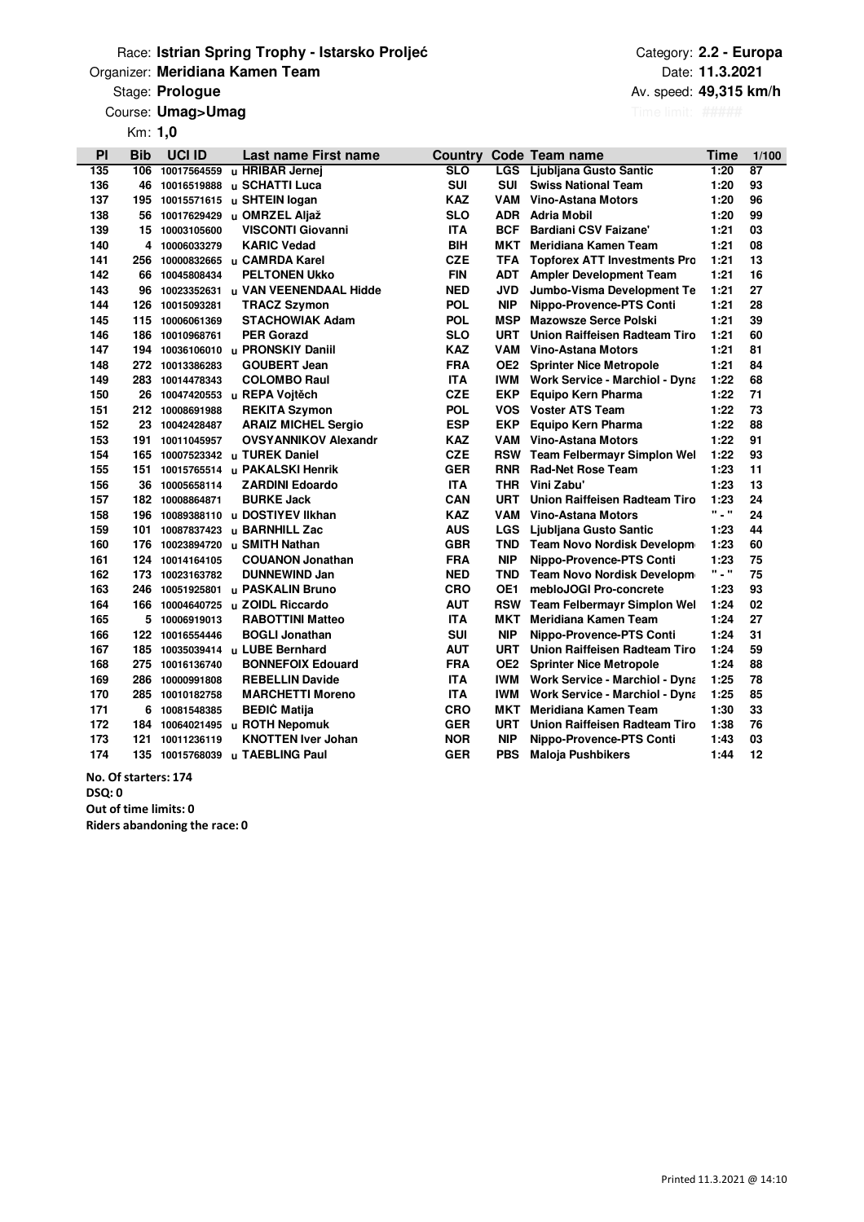### **Organizer: Meridiana Kamen Team** Date: **Discription of the Contract Organizer: Date:** Date: Race: **Istrian Spring Trophy - Istarsko Proljeće**

### **Prologue Av. speed: Av. speed: Av. speed: Av. speed: Av. speed: Av. speed: Av. speed:**

Course: Umag>Umag

Km: **1,0**

Category: **2.2 - Europa 49,315 km/h 11.3.2021**

| PI  | Bib | <b>UCI ID</b> | Last name First name               | Country    |                 | Code Team name                        | Time                        | 1/100           |
|-----|-----|---------------|------------------------------------|------------|-----------------|---------------------------------------|-----------------------------|-----------------|
| 135 | 106 | 10017564559   | u HRIBAR Jernej                    | <b>SLO</b> | <b>LGS</b>      | Ljubljana Gusto Santic                | 1:20                        | $\overline{87}$ |
| 136 | 46  | 10016519888   | <b>u SCHATTI Luca</b>              | <b>SUI</b> | <b>SUI</b>      | <b>Swiss National Team</b>            | 1:20                        | 93              |
| 137 | 195 | 10015571615   | u SHTEIN logan                     | <b>KAZ</b> | VAM             | Vino-Astana Motors                    | 1:20                        | 96              |
| 138 | 56  | 10017629429   | u OMRZEL Aljaž                     | <b>SLO</b> | <b>ADR</b>      | <b>Adria Mobil</b>                    | 1:20                        | 99              |
| 139 | 15  | 10003105600   | <b>VISCONTI Giovanni</b>           | <b>ITA</b> | <b>BCF</b>      | <b>Bardiani CSV Faizane'</b>          | 1:21                        | 03              |
| 140 | 4   | 10006033279   | <b>KARIC Vedad</b>                 | <b>BIH</b> | MKT             | Meridiana Kamen Team                  | 1:21                        | 08              |
| 141 | 256 |               | 10000832665 u CAMRDA Karel         | <b>CZE</b> | <b>TFA</b>      | <b>Topforex ATT Investments Pro</b>   | 1:21                        | 13              |
| 142 | 66  | 10045808434   | <b>PELTONEN Ukko</b>               | <b>FIN</b> | <b>ADT</b>      | <b>Ampler Development Team</b>        | 1:21                        | 16              |
| 143 | 96  |               | 10023352631 u VAN VEENENDAAL Hidde | <b>NED</b> | <b>JVD</b>      | Jumbo-Visma Development Te            | 1:21                        | 27              |
| 144 | 126 | 10015093281   | <b>TRACZ Szymon</b>                | <b>POL</b> | <b>NIP</b>      | Nippo-Provence-PTS Conti              | 1:21                        | 28              |
| 145 | 115 | 10006061369   | <b>STACHOWIAK Adam</b>             | <b>POL</b> | <b>MSP</b>      | <b>Mazowsze Serce Polski</b>          | 1:21                        | 39              |
| 146 | 186 | 10010968761   | <b>PER Gorazd</b>                  | <b>SLO</b> | <b>URT</b>      | <b>Union Raiffeisen Radteam Tiro</b>  | 1:21                        | 60              |
| 147 | 194 |               | 10036106010 u PRONSKIY Daniil      | <b>KAZ</b> | VAM             | Vino-Astana Motors                    | 1:21                        | 81              |
| 148 | 272 | 10013386283   | <b>GOUBERT Jean</b>                | <b>FRA</b> | OE <sub>2</sub> | <b>Sprinter Nice Metropole</b>        | 1:21                        | 84              |
| 149 | 283 | 10014478343   | <b>COLOMBO Raul</b>                | <b>ITA</b> | IWM.            | <b>Work Service - Marchiol - Dyna</b> | 1:22                        | 68              |
| 150 | 26  |               | 10047420553 u REPA Vojtěch         | <b>CZE</b> | <b>EKP</b>      | Equipo Kern Pharma                    | 1:22                        | 71              |
| 151 | 212 | 10008691988   | <b>REKITA Szymon</b>               | <b>POL</b> | VOS.            | <b>Voster ATS Team</b>                | 1:22                        | 73              |
| 152 | 23  | 10042428487   | <b>ARAIZ MICHEL Sergio</b>         | <b>ESP</b> | <b>EKP</b>      | Equipo Kern Pharma                    | 1:22                        | 88              |
| 153 | 191 | 10011045957   | <b>OVSYANNIKOV Alexandr</b>        | <b>KAZ</b> | VAM             | <b>Vino-Astana Motors</b>             | 1:22                        | 91              |
| 154 | 165 |               | 10007523342 u TUREK Daniel         | <b>CZE</b> | <b>RSW</b>      | Team Felbermayr Simplon Wel           | 1:22                        | 93              |
| 155 | 151 |               | 10015765514 u PAKALSKI Henrik      | <b>GER</b> | <b>RNR</b>      | <b>Rad-Net Rose Team</b>              | 1:23                        | 11              |
| 156 | 36  | 10005658114   | <b>ZARDINI Edoardo</b>             | <b>ITA</b> | <b>THR</b>      | Vini Zabu'                            | 1:23                        | 13              |
| 157 | 182 | 10008864871   | <b>BURKE Jack</b>                  | CAN        | <b>URT</b>      | Union Raiffeisen Radteam Tiro         | 1:23                        | 24              |
| 158 | 196 | 10089388110   | u DOSTIYEV IIkhan                  | <b>KAZ</b> | VAM             | <b>Vino-Astana Motors</b>             | $\mathbf{m}$ , $\mathbf{m}$ | 24              |
| 159 | 101 | 10087837423   | u BARNHILL Zac                     | <b>AUS</b> | <b>LGS</b>      | Ljubljana Gusto Santic                | 1:23                        | 44              |
| 160 | 176 |               | 10023894720 u SMITH Nathan         | <b>GBR</b> | <b>TND</b>      | Team Novo Nordisk Developm            | 1:23                        | 60              |
| 161 | 124 | 10014164105   | <b>COUANON Jonathan</b>            | <b>FRA</b> | <b>NIP</b>      | Nippo-Provence-PTS Conti              | 1:23                        | 75              |
| 162 | 173 | 10023163782   | <b>DUNNEWIND Jan</b>               | <b>NED</b> | TND             | Team Novo Nordisk Developm            | <b>" _ "</b>                | 75              |
| 163 | 246 | 10051925801   | u PASKALIN Bruno                   | <b>CRO</b> | OE1             | mebloJOGI Pro-concrete                | 1:23                        | 93              |
| 164 | 166 |               | 10004640725 u ZOIDL Riccardo       | AUT        | <b>RSW</b>      | <b>Team Felbermayr Simplon Wel</b>    | 1:24                        | 02              |
| 165 | 5   | 10006919013   | <b>RABOTTINI Matteo</b>            | <b>ITA</b> | MKT             | Meridiana Kamen Team                  | 1:24                        | 27              |
| 166 | 122 | 10016554446   | <b>BOGLI Jonathan</b>              | <b>SUI</b> | <b>NIP</b>      | Nippo-Provence-PTS Conti              | 1:24                        | 31              |
| 167 | 185 |               | 10035039414 u LUBE Bernhard        | <b>AUT</b> | <b>URT</b>      | Union Raiffeisen Radteam Tiro         | 1:24                        | 59              |
| 168 | 275 | 10016136740   | <b>BONNEFOIX Edouard</b>           | <b>FRA</b> | OE2             | <b>Sprinter Nice Metropole</b>        | 1:24                        | 88              |
| 169 | 286 | 10000991808   | <b>REBELLIN Davide</b>             | <b>ITA</b> | IWM.            | <b>Work Service - Marchiol - Dyna</b> | 1:25                        | 78              |
| 170 | 285 | 10010182758   | <b>MARCHETTI Moreno</b>            | <b>ITA</b> | <b>IWM</b>      | <b>Work Service - Marchiol - Dyna</b> | 1:25                        | 85              |
| 171 | 6   | 10081548385   | <b>BEĐIC Matija</b>                | <b>CRO</b> | MKT             | <b>Meridiana Kamen Team</b>           | 1:30                        | 33              |
| 172 | 184 |               | 10064021495 u ROTH Nepomuk         | <b>GER</b> | <b>URT</b>      | Union Raiffeisen Radteam Tiro         | 1:38                        | 76              |
| 173 | 121 | 10011236119   | <b>KNOTTEN Iver Johan</b>          | <b>NOR</b> | <b>NIP</b>      | Nippo-Provence-PTS Conti              | 1:43                        | 03              |
| 174 | 135 |               | 10015768039 u TAEBLING Paul        | <b>GER</b> | <b>PBS</b>      | <b>Maloja Pushbikers</b>              | 1:44                        | 12              |

 **7 176 8 No. Of starters: 174 9 178 10 Out of time limits: 0 179 17 Riders abandoning the race: 0 DSQ: 0**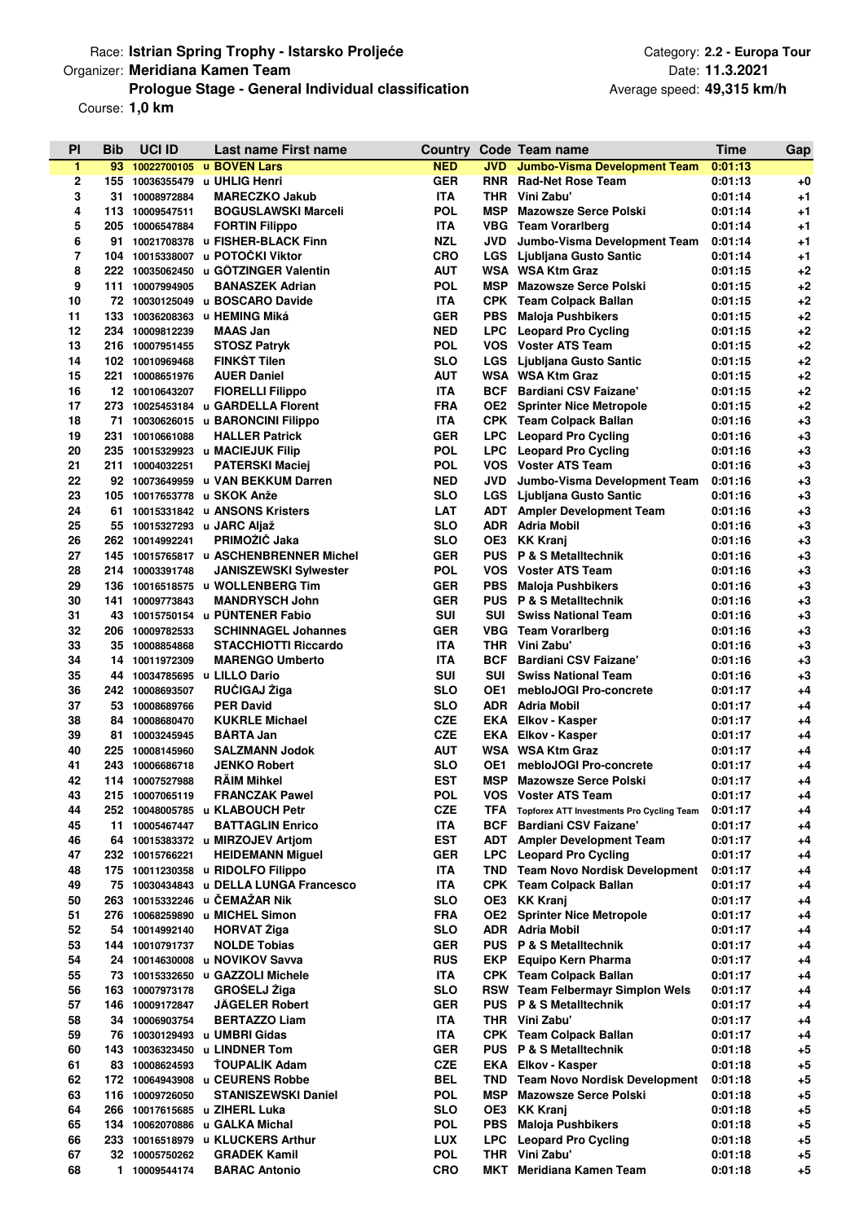# Race: **Istrian Spring Trophy - Istarsko Proljeće Category: 2.2 - Europa Tour** Category: 2.2 - Europa Tour **Prologue Stage - General Individual classification** Organizer: **Meridiana Kamen Team**

Course: **1,0 km**

| PI       | Bib | <b>UCI ID</b>                     | Last name First name                       | Country           |                   | Code Team name                                             | Time               | Gap             |
|----------|-----|-----------------------------------|--------------------------------------------|-------------------|-------------------|------------------------------------------------------------|--------------------|-----------------|
| 1        | 93  |                                   | 10022700105 u BOVEN Lars                   | <b>NED</b>        | <b>JVD</b>        | <b>Jumbo-Visma Development Team</b>                        | 0:01:13            |                 |
| 2        |     |                                   | 155 10036355479 u UHLIG Henri              | <b>GER</b>        | <b>RNR</b>        | <b>Rad-Net Rose Team</b>                                   | 0:01:13            | $+0$            |
| 3        |     | 31 10008972884                    | <b>MARECZKO Jakub</b>                      | <b>ITA</b>        | THR               | Vini Zabu'                                                 | 0:01:14            | $+1$            |
| 4        |     | 113 10009547511                   | <b>BOGUSLAWSKI Marceli</b>                 | <b>POL</b>        | <b>MSP</b>        | <b>Mazowsze Serce Polski</b>                               | 0:01:14            | $+1$            |
| 5        |     | 205 10006547884                   | <b>FORTIN Filippo</b>                      | <b>ITA</b>        |                   | <b>VBG</b> Team Vorarlberg                                 | 0:01:14            | $+1$            |
| 6        | 91  |                                   | 10021708378 u FISHER-BLACK Finn            | <b>NZL</b>        | JVD               | Jumbo-Visma Development Team                               | 0:01:14            | $+1$            |
| 7        |     | 104 10015338007                   | u POTOČKI Viktor                           | <b>CRO</b>        | <b>LGS</b>        | Ljubljana Gusto Santic                                     | 0:01:14            | $+1$            |
| 8        | 222 | 10035062450                       | u GOTZINGER Valentin                       | AUT               |                   | WSA WSA Ktm Graz                                           | 0:01:15            | $+2$            |
| 9        |     | 111 10007994905                   | <b>BANASZEK Adrian</b>                     | <b>POL</b>        | <b>MSP</b>        | <b>Mazowsze Serce Polski</b>                               | 0:01:15            | $+2$            |
| 10       |     |                                   | 72 10030125049 u BOSCARO Davide            | <b>ITA</b>        |                   | CPK Team Colpack Ballan                                    | 0:01:15            | $+2$            |
| 11       | 133 |                                   | 10036208363 u HEMING Miká                  | <b>GER</b>        | PBS               | <b>Maloja Pushbikers</b>                                   | 0:01:15            | $+2$            |
| 12       |     | 234 10009812239                   | <b>MAAS Jan</b>                            | <b>NED</b>        | <b>LPC</b>        | <b>Leopard Pro Cycling</b>                                 | 0:01:15            | $+2$            |
| 13<br>14 |     | 216 10007951455                   | <b>STOSZ Patryk</b><br><b>FINKST Tilen</b> | <b>POL</b><br>SLO | <b>VOS</b>        | <b>Voster ATS Team</b><br>LGS Ljubljana Gusto Santic       | 0:01:15            | $+2$<br>$+2$    |
| 15       | 221 | 102 10010969468<br>10008651976    | <b>AUER Daniel</b>                         | <b>AUT</b>        |                   | WSA WSA Ktm Graz                                           | 0:01:15<br>0:01:15 | $+2$            |
| 16       |     | 12 10010643207                    | <b>FIORELLI Filippo</b>                    | <b>ITA</b>        | BCF               | <b>Bardiani CSV Faizane'</b>                               | 0:01:15            | $+2$            |
| 17       |     |                                   | 273 10025453184 u GARDELLA Florent         | FRA               | OE2               | <b>Sprinter Nice Metropole</b>                             | 0:01:15            | $+2$            |
| 18       | 71  |                                   | 10030626015 u BARONCINI Filippo            | <b>ITA</b>        |                   | CPK Team Colpack Ballan                                    | 0:01:16            | $+3$            |
| 19       | 231 | 10010661088                       | <b>HALLER Patrick</b>                      | <b>GER</b>        | <b>LPC</b>        | <b>Leopard Pro Cycling</b>                                 | 0:01:16            | $+3$            |
| 20       |     |                                   | 235 10015329923 u MACIEJUK Filip           | <b>POL</b>        |                   | <b>LPC</b> Leopard Pro Cycling                             | 0:01:16            | $+3$            |
| 21       |     | 211 10004032251                   | <b>PATERSKI Maciej</b>                     | <b>POL</b>        |                   | <b>VOS</b> Voster ATS Team                                 | 0:01:16            | $+3$            |
| 22       |     |                                   | 92 10073649959 u VAN BEKKUM Darren         | <b>NED</b>        | JVD               | Jumbo-Visma Development Team                               | 0:01:16            | $+3$            |
| 23       |     |                                   | 105 10017653778 u SKOK Anže                | SLO               | <b>LGS</b>        | Ljubljana Gusto Santic                                     | 0:01:16            | $+3$            |
| 24       | 61. |                                   | 10015331842 u ANSONS Kristers              | LAT               | ADT               | <b>Ampler Development Team</b>                             | 0:01:16            | $+3$            |
| 25       |     |                                   | 55 10015327293 u JARC Aljaž                | SLO               |                   | ADR Adria Mobil                                            | 0:01:16            | $+3$            |
| 26       |     | 262 10014992241                   | PRIMOŽIČ Jaka                              | SLO               |                   | OE3 KK Kranj                                               | 0:01:16            | $+3$            |
| 27       |     |                                   | 145 10015765817 u ASCHENBRENNER Michel     | <b>GER</b>        | <b>PUS</b>        | <b>P &amp; S Metalltechnik</b>                             | 0:01:16            | $+3$            |
| 28       |     | 214 10003391748                   | <b>JANISZEWSKI Sylwester</b>               | <b>POL</b>        |                   | VOS Voster ATS Team                                        | 0:01:16            | $+3$            |
| 29       |     |                                   | 136 10016518575 u WOLLENBERG Tim           | <b>GER</b>        | <b>PBS</b>        | <b>Maloja Pushbikers</b>                                   | 0:01:16            | $+3$            |
| 30       | 141 | 10009773843                       | <b>MANDRYSCH John</b>                      | <b>GER</b>        | <b>PUS</b>        | <b>P &amp; S Metalltechnik</b>                             | 0:01:16            | $+3$            |
| 31       |     |                                   | 43 10015750154 u PUNTENER Fabio            | <b>SUI</b>        | SUI               | <b>Swiss National Team</b>                                 | 0:01:16            | $+3$            |
| 32       |     | 206 10009782533                   | <b>SCHINNAGEL Johannes</b>                 | <b>GER</b>        |                   | <b>VBG</b> Team Vorarlberg                                 | 0:01:16            | $+3$            |
| 33       |     | 35 10008854868                    | <b>STACCHIOTTI Riccardo</b>                | <b>ITA</b>        |                   | THR Vini Zabu'                                             | 0:01:16            | $+3$            |
| 34<br>35 | 14  | 10011972309<br>44 10034785695     | <b>MARENGO Umberto</b><br>u LILLO Dario    | <b>ITA</b><br>SUI | BCF<br><b>SUI</b> | <b>Bardiani CSV Faizane'</b><br><b>Swiss National Team</b> | 0:01:16<br>0:01:16 | $+3$<br>$+3$    |
| 36       |     | 242 10008693507                   | RUČIGAJ Žiga                               | SLO               | OE1               | mebloJOGI Pro-concrete                                     | 0:01:17            | $+4$            |
| 37       |     | 53 10008689766                    | <b>PER David</b>                           | SLO               | <b>ADR</b>        | Adria Mobil                                                | 0:01:17            | $+4$            |
| 38       | 84  | 10008680470                       | <b>KUKRLE Michael</b>                      | <b>CZE</b>        | EKA               | Elkov - Kasper                                             | 0:01:17            | $+4$            |
| 39       | 81  | 10003245945                       | <b>BARTA Jan</b>                           | <b>CZE</b>        | EKA               | Elkov - Kasper                                             | 0:01:17            | $+4$            |
| 40       | 225 | 10008145960                       | <b>SALZMANN Jodok</b>                      | AUT               | <b>WSA</b>        | <b>WSA Ktm Graz</b>                                        | 0:01:17            | $+4$            |
| 41       | 243 | 10006686718                       | <b>JENKO Robert</b>                        | SLO               | OE1               | mebloJOGI Pro-concrete                                     | 0:01:17            | $+4$            |
| 42       | 114 | 10007527988                       | <b>RAIM Mihkel</b>                         | <b>EST</b>        | MSP               | <b>Mazowsze Serce Polski</b>                               | 0:01:17            | $+4$            |
| 43       |     | 215 10007065119                   | <b>FRANCZAK Pawel</b>                      | <b>POL</b>        |                   | VOS Voster ATS Team                                        | 0:01:17            | +4              |
| 44       |     |                                   | 252 10048005785 u KLABOUCH Petr            | CZE               | TFA               | <b>Topforex ATT Investments Pro Cycling Team</b>           | 0:01:17            | $+4$            |
| 45       | 11  | 10005467447                       | <b>BATTAGLIN Enrico</b>                    | <b>ITA</b>        | BCF               | <b>Bardiani CSV Faizane'</b>                               | 0:01:17            | +4              |
| 46       |     |                                   | 64 10015383372 u MIRZOJEV Artiom           | EST               |                   | <b>ADT</b> Ampler Development Team                         | 0:01:17            | $+4$            |
| 47       |     | 232 10015766221                   | <b>HEIDEMANN Miquel</b>                    | <b>GER</b>        | LPC.              | <b>Leopard Pro Cycling</b>                                 | 0:01:17            | $^{+4}$         |
| 48       |     |                                   | 175 10011230358 u RIDOLFO Filippo          | <b>ITA</b>        |                   | TND Team Novo Nordisk Development                          | 0:01:17            | +4              |
| 49       |     | 75 10030434843                    | u DELLA LUNGA Francesco                    | ITA               |                   | CPK Team Colpack Ballan                                    | 0:01:17            | $+4$            |
| 50       |     | 263 10015332246                   | u ČEMAŽAR Nik<br>u MICHEL Simon            | SLO<br>FRA        |                   | OE3 KK Kranj                                               | 0:01:17            | +4              |
| 51<br>52 |     | 276 10068259890<br>54 10014992140 | <b>HORVAT Ziga</b>                         | <b>SLO</b>        | OE2<br>ADR        | <b>Sprinter Nice Metropole</b><br><b>Adria Mobil</b>       | 0:01:17<br>0:01:17 | $+4$<br>$^{+4}$ |
| 53       |     | 144 10010791737                   | <b>NOLDE Tobias</b>                        | <b>GER</b>        | PUS               | <b>P &amp; S Metalltechnik</b>                             | 0:01:17            | $+4$            |
| 54       |     |                                   | 24 10014630008 u NOVIKOV Savva             | <b>RUS</b>        | EKP               | Equipo Kern Pharma                                         | 0:01:17            | $^{+4}$         |
| 55       |     |                                   | 73 10015332650 u GAZZOLI Michele           | <b>ITA</b>        |                   | <b>CPK</b> Team Colpack Ballan                             | 0:01:17            | $^{+4}$         |
| 56       |     | 163 10007973178                   | <b>GROSELJ Žiga</b>                        | SLO               |                   | <b>RSW Team Felbermayr Simplon Wels</b>                    | 0:01:17            | $+4$            |
| 57       |     | 146 10009172847                   | <b>JÄGELER Robert</b>                      | <b>GER</b>        | <b>PUS</b>        | P & S Metalltechnik                                        | 0:01:17            | $+4$            |
| 58       |     | 34 10006903754                    | <b>BERTAZZO Liam</b>                       | <b>ITA</b>        |                   | THR Vini Zabu'                                             | 0:01:17            | $^{+4}$         |
| 59       |     |                                   | 76 10030129493 u UMBRI Gidas               | <b>ITA</b>        |                   | CPK Team Colpack Ballan                                    | 0:01:17            | $+4$            |
| 60       |     |                                   | 143 10036323450 u LINDNER Tom              | <b>GER</b>        |                   | <b>PUS P &amp; S Metalltechnik</b>                         | 0:01:18            | $+5$            |
| 61       |     | 83 10008624593                    | <b>TOUPALIK Adam</b>                       | CZE               | EKA               | Elkov - Kasper                                             | 0:01:18            | $+5$            |
| 62       |     |                                   | 172 10064943908 u CEURENS Robbe            | BEL               | TND.              | <b>Team Novo Nordisk Development</b>                       | 0:01:18            | $+5$            |
| 63       |     | 116 10009726050                   | <b>STANISZEWSKI Daniel</b>                 | <b>POL</b>        | <b>MSP</b>        | Mazowsze Serce Polski                                      | 0:01:18            | +5              |
| 64       |     |                                   | 266 10017615685 u ZIHERL Luka              | SLO               | OE3               | <b>KK Kranj</b>                                            | 0:01:18            | $+5$            |
| 65       |     | 134 10062070886                   | u GALKA Michal                             | POL               | PBS               | <b>Maloja Pushbikers</b>                                   | 0:01:18            | $+5$            |
| 66       |     |                                   | 233 10016518979 u KLUCKERS Arthur          | LUX               | <b>LPC</b>        | <b>Leopard Pro Cycling</b>                                 | 0:01:18            | $+5$            |
| 67       |     | 32 10005750262                    | <b>GRADEK Kamil</b>                        | <b>POL</b>        | THR               | Vini Zabu'                                                 | 0:01:18            | $+5$            |
| 68       |     | 1 10009544174                     | <b>BARAC Antonio</b>                       | <b>CRO</b>        | МКТ               | Meridiana Kamen Team                                       | 0:01:18            | $+5$            |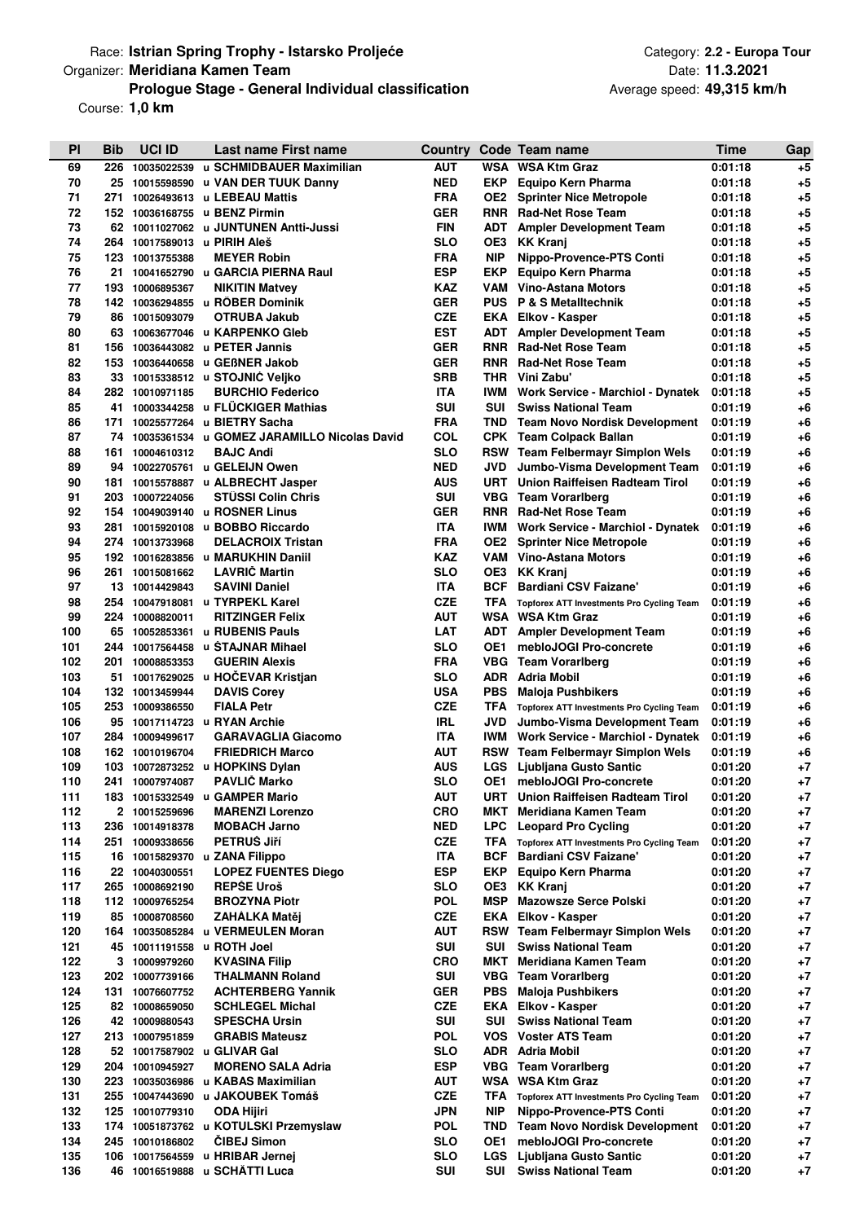# Race: **Istrian Spring Trophy - Istarsko Proljeće Category: 2.2 - Europa Tour** Category: 2.2 - Europa Tour **Prologue Stage - General Individual classification** Organizer: **Meridiana Kamen Team**

Course: **1,0 km**

| PI         | <b>Bib</b> | <b>UCI ID</b>                  | Last name First name                                               |                          |                   | Country Code Team name                                                      | <b>Time</b>        | Gap             |
|------------|------------|--------------------------------|--------------------------------------------------------------------|--------------------------|-------------------|-----------------------------------------------------------------------------|--------------------|-----------------|
| 69         | 226        |                                | 10035022539 u SCHMIDBAUER Maximilian                               | <b>AUT</b>               |                   | WSA WSA Ktm Graz                                                            | 0:01:18            | $+5$            |
| 70         |            |                                | 25 10015598590 u VAN DER TUUK Danny                                | <b>NED</b>               | EKP               | Equipo Kern Pharma                                                          | 0:01:18            | +5              |
| 71         | 271        |                                | 10026493613 u LEBEAU Mattis                                        | <b>FRA</b>               | OE2.              | <b>Sprinter Nice Metropole</b>                                              | 0:01:18            | $+5$            |
| 72         | 152        |                                | 10036168755 u BENZ Pirmin                                          | <b>GER</b>               |                   | <b>RNR</b> Rad-Net Rose Team                                                | 0:01:18            | $+5$            |
| 73         |            |                                | 62 10011027062 u JUNTUNEN Antti-Jussi                              | <b>FIN</b>               | ADT               | <b>Ampler Development Team</b>                                              | 0:01:18            | $+5$            |
| 74         | 264        |                                | 10017589013 u PIRIH Aleš                                           | SLO                      | OE3               | <b>KK Kranj</b>                                                             | 0:01:18            | $+5$            |
| 75         | 123        | 10013755388                    | <b>MEYER Robin</b>                                                 | <b>FRA</b>               | <b>NIP</b>        | Nippo-Provence-PTS Conti                                                    | 0:01:18            | $+5$            |
| 76         | 21         |                                | 10041652790 u GARCIA PIERNA Raul                                   | <b>ESP</b>               | <b>EKP</b>        | <b>Equipo Kern Pharma</b>                                                   | 0:01:18            | $+5$            |
| 77         | 193        | 10006895367                    | <b>NIKITIN Matvey</b>                                              | KAZ                      | VAM               | <b>Vino-Astana Motors</b>                                                   | 0:01:18            | $+5$            |
| 78<br>79   | 86         | 10015093079                    | 142 10036294855 u ROBER Dominik<br><b>OTRUBA Jakub</b>             | <b>GER</b><br><b>CZE</b> | <b>PUS</b><br>EKA | <b>P &amp; S Metalltechnik</b><br>Elkov - Kasper                            | 0:01:18<br>0:01:18 | $+5$<br>$+5$    |
| 80         | 63.        |                                | 10063677046 u KARPENKO Gleb                                        | <b>EST</b>               | ADT               | <b>Ampler Development Team</b>                                              | 0:01:18            | $+5$            |
| 81         |            |                                | 156 10036443082 u PETER Jannis                                     | <b>GER</b>               | <b>RNR</b>        | <b>Rad-Net Rose Team</b>                                                    | 0:01:18            | $+5$            |
| 82         |            |                                | 153 10036440658 u GEBNER Jakob                                     | <b>GER</b>               | <b>RNR</b>        | <b>Rad-Net Rose Team</b>                                                    | 0:01:18            | $+5$            |
| 83         |            |                                | 33 10015338512 u STOJNIĆ Veljko                                    | <b>SRB</b>               | <b>THR</b>        | Vini Zabu'                                                                  | 0:01:18            | $+5$            |
| 84         |            | 282 10010971185                | <b>BURCHIO Federico</b>                                            | <b>ITA</b>               | IWM               | Work Service - Marchiol - Dynatek                                           | 0:01:18            | $+5$            |
| 85         | 41         |                                | 10003344258 u FLUCKIGER Mathias                                    | <b>SUI</b>               | SUI               | <b>Swiss National Team</b>                                                  | 0:01:19            | $+6$            |
| 86         | 171        |                                | 10025577264 u BIETRY Sacha                                         | <b>FRA</b>               | TND               | <b>Team Novo Nordisk Development</b>                                        | 0:01:19            | $+6$            |
| 87         |            |                                | 74 10035361534 u GOMEZ JARAMILLO Nicolas David                     | COL                      |                   | <b>CPK</b> Team Colpack Ballan                                              | 0:01:19            | $+6$            |
| 88         |            | 161 10004610312                | <b>BAJC Andi</b>                                                   | <b>SLO</b>               |                   | RSW Team Felbermayr Simplon Wels                                            | 0:01:19            | $+6$            |
| 89         |            |                                | 94 10022705761 u GELEIJN Owen                                      | <b>NED</b>               | JVD               | Jumbo-Visma Development Team                                                | 0:01:19            | $+6$            |
| 90         |            |                                | 181 10015578887 u ALBRECHT Jasper                                  | AUS                      | URT               | Union Raiffeisen Radteam Tirol                                              | 0:01:19            | $+6$            |
| 91         | 203        | 10007224056                    | <b>STUSSI Colin Chris</b>                                          | <b>SUI</b>               | <b>VBG</b>        | <b>Team Vorarlberg</b>                                                      | 0:01:19            | $+6$            |
| 92         | 154        |                                | 10049039140 u ROSNER Linus                                         | <b>GER</b>               | <b>RNR</b>        | <b>Rad-Net Rose Team</b>                                                    | 0:01:19            | $+6$            |
| 93         | 281        |                                | 10015920108 u BOBBO Riccardo                                       | <b>ITA</b>               | IWM               | Work Service - Marchiol - Dynatek                                           | 0:01:19            | $+6$            |
| 94         |            | 274 10013733968                | <b>DELACROIX Tristan</b>                                           | <b>FRA</b>               | OE2               | <b>Sprinter Nice Metropole</b>                                              | 0:01:19            | $+6$            |
| 95         | 192        |                                | 10016283856 u MARUKHIN Daniil                                      | <b>KAZ</b>               | VAM               | Vino-Astana Motors                                                          | 0:01:19            | $+6$            |
| 96         |            | 261 10015081662                | <b>LAVRIČ Martin</b>                                               | SLO<br><b>ITA</b>        | OE3<br>BCF        | <b>KK Kranj</b>                                                             | 0:01:19            | $+6$            |
| 97<br>98   | 13         | 10014429843                    | <b>SAVINI Daniel</b><br>254 10047918081 u TYRPEKL Karel            | <b>CZE</b>               | TFA               | <b>Bardiani CSV Faizane'</b>                                                | 0:01:19<br>0:01:19 | $+6$<br>$+6$    |
| 99         |            | 224 10008820011                | <b>RITZINGER Felix</b>                                             | <b>AUT</b>               | WSA               | <b>Topforex ATT Investments Pro Cycling Team</b><br><b>WSA Ktm Graz</b>     | 0:01:19            | $+6$            |
| 100        |            |                                | 65 10052853361 u RUBENIS Pauls                                     | LAT                      | ADT               | <b>Ampler Development Team</b>                                              | 0:01:19            | $+6$            |
| 101        | 244        |                                | 10017564458 u STAJNAR Mihael                                       | SLO                      | OE1               | mebloJOGI Pro-concrete                                                      | 0:01:19            | $+6$            |
| 102        |            | 201 10008853353                | <b>GUERIN Alexis</b>                                               | <b>FRA</b>               | VBG               | <b>Team Vorarlberg</b>                                                      | 0:01:19            | $+6$            |
| 103        |            |                                | 51 10017629025 u HOČEVAR Kristjan                                  | SLO                      | <b>ADR</b>        | <b>Adria Mobil</b>                                                          | 0:01:19            | $+6$            |
| 104        |            | 132 10013459944                | <b>DAVIS Corey</b>                                                 | <b>USA</b>               | PBS               | <b>Maloja Pushbikers</b>                                                    | 0:01:19            | $+6$            |
| 105        |            | 253 10009386550                | <b>FIALA Petr</b>                                                  | CZE                      | TFA               | <b>Topforex ATT Investments Pro Cycling Team</b>                            | 0:01:19            | $+6$            |
| 106        |            |                                | 95 10017114723 u RYAN Archie                                       | IRL                      | JVD.              | Jumbo-Visma Development Team                                                | 0:01:19            | $+6$            |
| 107        |            | 284 10009499617                | <b>GARAVAGLIA Giacomo</b>                                          | <b>ITA</b>               |                   | <b>IWM</b> Work Service - Marchiol - Dynatek                                | 0:01:19            | $+6$            |
| 108        |            | 162 10010196704                | <b>FRIEDRICH Marco</b>                                             | AUT                      |                   | <b>RSW</b> Team Felbermayr Simplon Wels                                     | 0:01:19            | $+6$            |
| 109        | 103        |                                | 10072873252 u HOPKINS Dylan                                        | AUS                      | <b>LGS</b>        | Ljubljana Gusto Santic                                                      | 0:01:20            | $+7$            |
| 110        | 241        | 10007974087                    | <b>PAVLIC Marko</b>                                                | <b>SLO</b>               | OE1               | mebloJOGI Pro-concrete                                                      | 0:01:20            | $+7$            |
| 111        |            |                                | 183 10015332549 u GAMPER Mario                                     | <b>AUT</b>               | URT               | Union Raiffeisen Radteam Tirol                                              | 0:01:20            | $+7$            |
| 112        |            | 2 10015259696                  | <b>MARENZI Lorenzo</b>                                             | <b>CRO</b>               | MKT               | Meridiana Kamen Team                                                        | 0:01:20            | $+7$            |
| 113<br>114 | 236        | 10014918378<br>251 10009338656 | <b>MOBACH Jarno</b><br><b>PETRUS Jiří</b>                          | NED<br>CZE               | <b>LPC</b>        | <b>Leopard Pro Cycling</b><br>TFA Topforex ATT Investments Pro Cycling Team | 0:01:20<br>0:01:20 | +7<br>$\bf{+7}$ |
| 115        | 16         |                                | 10015829370 u ZANA Filippo                                         | <b>ITA</b>               | BCF               | <b>Bardiani CSV Faizane'</b>                                                | 0:01:20            | +7              |
| 116        |            | 22 10040300551                 | <b>LOPEZ FUENTES Diego</b>                                         | ESP                      | EKP               | Equipo Kern Pharma                                                          | 0:01:20            | $+7$            |
| 117        |            | 265 10008692190                | <b>REPŠE Uroš</b>                                                  | <b>SLO</b>               | OE3               | <b>KK Kranj</b>                                                             | 0:01:20            | +7              |
| 118        |            | 112 10009765254                | <b>BROZYNA Piotr</b>                                               | POL                      | MSP               | <b>Mazowsze Serce Polski</b>                                                | 0:01:20            | $+7$            |
| 119        | 85         | 10008708560                    | ZAHALKA Matěj                                                      | CZE                      | <b>EKA</b>        | Elkov - Kasper                                                              | 0:01:20            | $+7$            |
| 120        | 164        | 10035085284                    | u VERMEULEN Moran                                                  | AUT                      |                   | <b>RSW</b> Team Felbermayr Simplon Wels                                     | 0:01:20            | $+7$            |
| 121        |            |                                | 45 10011191558 u ROTH Joel                                         | <b>SUI</b>               | SUI               | <b>Swiss National Team</b>                                                  | 0:01:20            | $+7$            |
| 122        |            | 3 10009979260                  | <b>KVASINA Filip</b>                                               | <b>CRO</b>               | MKT               | Meridiana Kamen Team                                                        | 0:01:20            | $+7$            |
| 123        |            | 202 10007739166                | <b>THALMANN Roland</b>                                             | SUI                      | VBG.              | <b>Team Vorarlberg</b>                                                      | 0:01:20            | $+7$            |
| 124        |            | 131 10076607752                | <b>ACHTERBERG Yannik</b>                                           | <b>GER</b>               | <b>PBS</b>        | <b>Maloja Pushbikers</b>                                                    | 0:01:20            | +7              |
| 125        |            | 82 10008659050                 | <b>SCHLEGEL Michal</b>                                             | <b>CZE</b>               | EKA               | Elkov - Kasper                                                              | 0:01:20            | $+7$            |
| 126        |            | 42 10009880543                 | <b>SPESCHA Ursin</b>                                               | <b>SUI</b>               | SUI               | <b>Swiss National Team</b>                                                  | 0:01:20            | +7              |
| 127        |            | 213 10007951859                | <b>GRABIS Mateusz</b>                                              | POL                      | VOS.              | <b>Voster ATS Team</b>                                                      | 0:01:20            | $+7$            |
| 128        |            |                                | 52 10017587902 u GLIVAR Gal                                        | SLO                      | ADR               | <b>Adria Mobil</b>                                                          | 0:01:20            | $+7$            |
| 129        | 204        | 10010945927                    | <b>MORENO SALA Adria</b>                                           | ESP                      | VBG.              | <b>Team Vorarlberg</b>                                                      | 0:01:20            | $+7$            |
| 130<br>131 | 223        |                                | 10035036986 u KABAS Maximilian<br>255 10047443690 u JAKOUBEK Tomáš | AUT<br>CZE               | TFA               | WSA WSA Ktm Graz                                                            | 0:01:20<br>0:01:20 | $+7$<br>$+7$    |
| 132        |            | 125 10010779310                | <b>ODA Hijiri</b>                                                  | JPN                      | <b>NIP</b>        | Topforex ATT Investments Pro Cycling Team<br>Nippo-Provence-PTS Conti       | 0:01:20            | $+7$            |
| 133        | 174        |                                | 10051873762 u KOTULSKI Przemyslaw                                  | <b>POL</b>               | TND               | <b>Team Novo Nordisk Development</b>                                        | 0:01:20            | +7              |
| 134        |            | 245 10010186802                | <b>CIBEJ Simon</b>                                                 | <b>SLO</b>               | OE1               | mebloJOGI Pro-concrete                                                      | 0:01:20            | $+7$            |
| 135        |            |                                | 106 10017564559 u HRIBAR Jernej                                    | <b>SLO</b>               | <b>LGS</b>        | Ljubljana Gusto Santic                                                      | 0:01:20            | $+7$            |
| 136        |            |                                | 46 10016519888 u SCHATTI Luca                                      | <b>SUI</b>               |                   | <b>SUI</b> Swiss National Team                                              | 0:01:20            | $+7$            |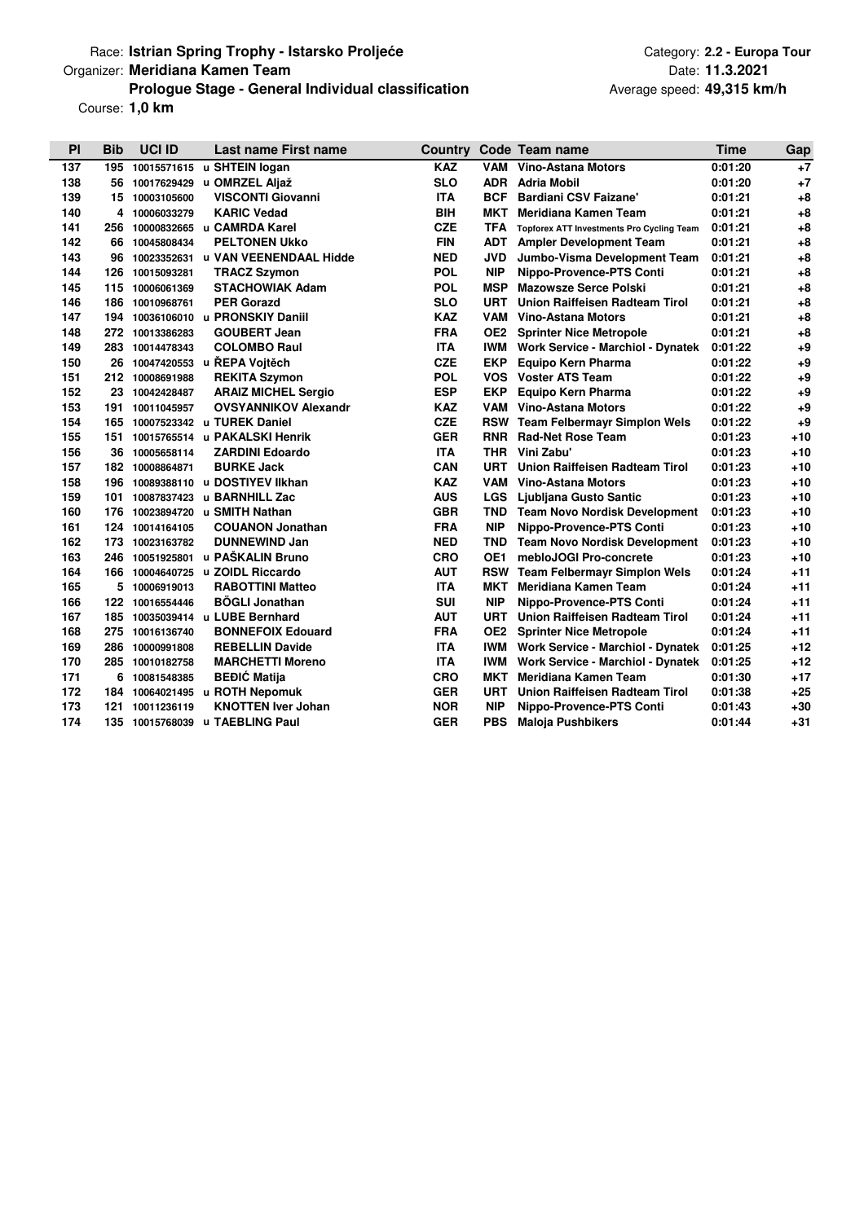# Race: **Istrian Spring Trophy - Istarsko Proljeće Category: 2.2 - Europa Tour** Category: 2.2 - Europa Tour **Prologue Stage - General Individual classification** Organizer: **Meridiana Kamen Team**

Course: **1,0 km**

Date: **11.3.2021 49,315 km/h** Average speed:

| PI  | <b>Bib</b> | <b>UCI ID</b>   | Last name First name           | <b>Country</b> |                 | <b>Code Team name</b>                            | <b>Time</b> | Gap   |
|-----|------------|-----------------|--------------------------------|----------------|-----------------|--------------------------------------------------|-------------|-------|
| 137 | 195        | 10015571615     | u SHTEIN logan                 | <b>KAZ</b>     | VAM             | Vino-Astana Motors                               | 0:01:20     | $+7$  |
| 138 |            | 56 10017629429  | u OMRZEL Aljaž                 | <b>SLO</b>     | <b>ADR</b>      | <b>Adria Mobil</b>                               | 0:01:20     | $+7$  |
| 139 |            | 15 10003105600  | <b>VISCONTI Giovanni</b>       | <b>ITA</b>     | <b>BCF</b>      | <b>Bardiani CSV Faizane'</b>                     | 0:01:21     | $+8$  |
| 140 |            | 4 10006033279   | <b>KARIC Vedad</b>             | <b>BIH</b>     | мкт             | <b>Meridiana Kamen Team</b>                      | 0:01:21     | $+8$  |
| 141 |            |                 | 256 10000832665 u CAMRDA Karel | <b>CZE</b>     | <b>TFA</b>      | <b>Topforex ATT Investments Pro Cycling Team</b> | 0:01:21     | $+8$  |
| 142 |            | 66 10045808434  | <b>PELTONEN UKKO</b>           | <b>FIN</b>     | <b>ADT</b>      | <b>Ampler Development Team</b>                   | 0:01:21     | $+8$  |
| 143 | 96         | 10023352631     | u VAN VEENENDAAL Hidde         | <b>NED</b>     | <b>JVD</b>      | Jumbo-Visma Development Team                     | 0:01:21     | $+8$  |
| 144 | 126        | 10015093281     | <b>TRACZ Szymon</b>            | <b>POL</b>     | <b>NIP</b>      | Nippo-Provence-PTS Conti                         | 0:01:21     | $+8$  |
| 145 | 115        | 10006061369     | <b>STACHOWIAK Adam</b>         | POL            | MSP             | <b>Mazowsze Serce Polski</b>                     | 0:01:21     | $+8$  |
| 146 |            | 186 10010968761 | <b>PER Gorazd</b>              | <b>SLO</b>     | <b>URT</b>      | <b>Union Raiffeisen Radteam Tirol</b>            | 0:01:21     | $+8$  |
| 147 | 194        | 10036106010     | u PRONSKIY Daniil              | KAZ            | VAM             | <b>Vino-Astana Motors</b>                        | 0:01:21     | $+8$  |
| 148 | 272        | 10013386283     | <b>GOUBERT Jean</b>            | FRA            | OE <sub>2</sub> | <b>Sprinter Nice Metropole</b>                   | 0:01:21     | $+8$  |
| 149 | 283        | 10014478343     | <b>COLOMBO Raul</b>            | <b>ITA</b>     | IWM             | <b>Work Service - Marchiol - Dynatek</b>         | 0:01:22     | $+9$  |
| 150 |            |                 | 26 10047420553 u ŘEPA Vojtěch  | <b>CZE</b>     | <b>EKP</b>      | <b>Equipo Kern Pharma</b>                        | 0:01:22     | $+9$  |
| 151 |            | 212 10008691988 | <b>REKITA Szymon</b>           | <b>POL</b>     | <b>VOS</b>      | <b>Voster ATS Team</b>                           | 0:01:22     | $+9$  |
| 152 |            | 23 10042428487  | <b>ARAIZ MICHEL Sergio</b>     | <b>ESP</b>     | <b>EKP</b>      | <b>Equipo Kern Pharma</b>                        | 0:01:22     | $+9$  |
| 153 | 191        | 10011045957     | <b>OVSYANNIKOV Alexandr</b>    | <b>KAZ</b>     | VAM             | <b>Vino-Astana Motors</b>                        | 0:01:22     | $+9$  |
| 154 | 165        | 10007523342     | u TUREK Daniel                 | <b>CZE</b>     |                 | <b>RSW</b> Team Felbermayr Simplon Wels          | 0:01:22     | $+9$  |
| 155 | 151        | 10015765514     | u PAKALSKI Henrik              | <b>GER</b>     | <b>RNR</b>      | <b>Rad-Net Rose Team</b>                         | 0:01:23     | $+10$ |
| 156 | 36         | 10005658114     | <b>ZARDINI Edoardo</b>         | <b>ITA</b>     | <b>THR</b>      | Vini Zabu'                                       | 0:01:23     | $+10$ |
| 157 |            | 182 10008864871 | <b>BURKE Jack</b>              | CAN            | <b>URT</b>      | <b>Union Raiffeisen Radteam Tirol</b>            | 0:01:23     | $+10$ |
| 158 |            | 196 10089388110 | u DOSTIYEV IIkhan              | <b>KAZ</b>     | VAM             | Vino-Astana Motors                               | 0:01:23     | $+10$ |
| 159 | 101        | 10087837423     | u BARNHILL Zac                 | <b>AUS</b>     | LGS             | Ljubljana Gusto Santic                           | 0:01:23     | $+10$ |
| 160 | 176        | 10023894720     | u SMITH Nathan                 | <b>GBR</b>     | TND             | <b>Team Novo Nordisk Development</b>             | 0:01:23     | $+10$ |
| 161 | 124        | 10014164105     | <b>COUANON Jonathan</b>        | <b>FRA</b>     | <b>NIP</b>      | Nippo-Provence-PTS Conti                         | 0:01:23     | $+10$ |
| 162 | 173        | 10023163782     | <b>DUNNEWIND Jan</b>           | <b>NED</b>     | TND             | <b>Team Novo Nordisk Development</b>             | 0:01:23     | $+10$ |
| 163 |            | 246 10051925801 | u PAŠKALIN Bruno               | <b>CRO</b>     | OE1             | mebloJOGI Pro-concrete                           | 0:01:23     | $+10$ |
| 164 | 166        |                 | 10004640725 u ZOIDL Riccardo   | <b>AUT</b>     | <b>RSW</b>      | <b>Team Felbermayr Simplon Wels</b>              | 0:01:24     | $+11$ |
| 165 | 5          | 10006919013     | <b>RABOTTINI Matteo</b>        | ITA            | МКТ             | Meridiana Kamen Team                             | 0:01:24     | $+11$ |
| 166 | 122        | 10016554446     | <b>BÖGLI Jonathan</b>          | <b>SUI</b>     | <b>NIP</b>      | Nippo-Provence-PTS Conti                         | 0:01:24     | $+11$ |
| 167 | 185        |                 | 10035039414 u LUBE Bernhard    | <b>AUT</b>     | <b>URT</b>      | <b>Union Raiffeisen Radteam Tirol</b>            | 0:01:24     | $+11$ |
| 168 | 275        | 10016136740     | <b>BONNEFOIX Edouard</b>       | <b>FRA</b>     | OE <sub>2</sub> | <b>Sprinter Nice Metropole</b>                   | 0:01:24     | $+11$ |
| 169 | 286        | 10000991808     | <b>REBELLIN Davide</b>         | <b>ITA</b>     |                 | <b>IWM</b> Work Service - Marchiol - Dynatek     | 0:01:25     | $+12$ |
| 170 | 285        | 10010182758     | <b>MARCHETTI Moreno</b>        | <b>ITA</b>     | IWM             | <b>Work Service - Marchiol - Dynatek</b>         | 0:01:25     | $+12$ |
| 171 | 6          | 10081548385     | <b>BEĐIĆ Matija</b>            | CRO            | мкт             | Meridiana Kamen Team                             | 0:01:30     | $+17$ |
| 172 | 184        | 10064021495     | u ROTH Nepomuk                 | <b>GER</b>     | <b>URT</b>      | Union Raiffeisen Radteam Tirol                   | 0:01:38     | $+25$ |
| 173 | 121        | 10011236119     | <b>KNOTTEN Iver Johan</b>      | <b>NOR</b>     | <b>NIP</b>      | Nippo-Provence-PTS Conti                         | 0:01:43     | $+30$ |
| 174 |            | 135 10015768039 | u TAEBLING Paul                | <b>GER</b>     | <b>PBS</b>      | <b>Maloja Pushbikers</b>                         | 0:01:44     | $+31$ |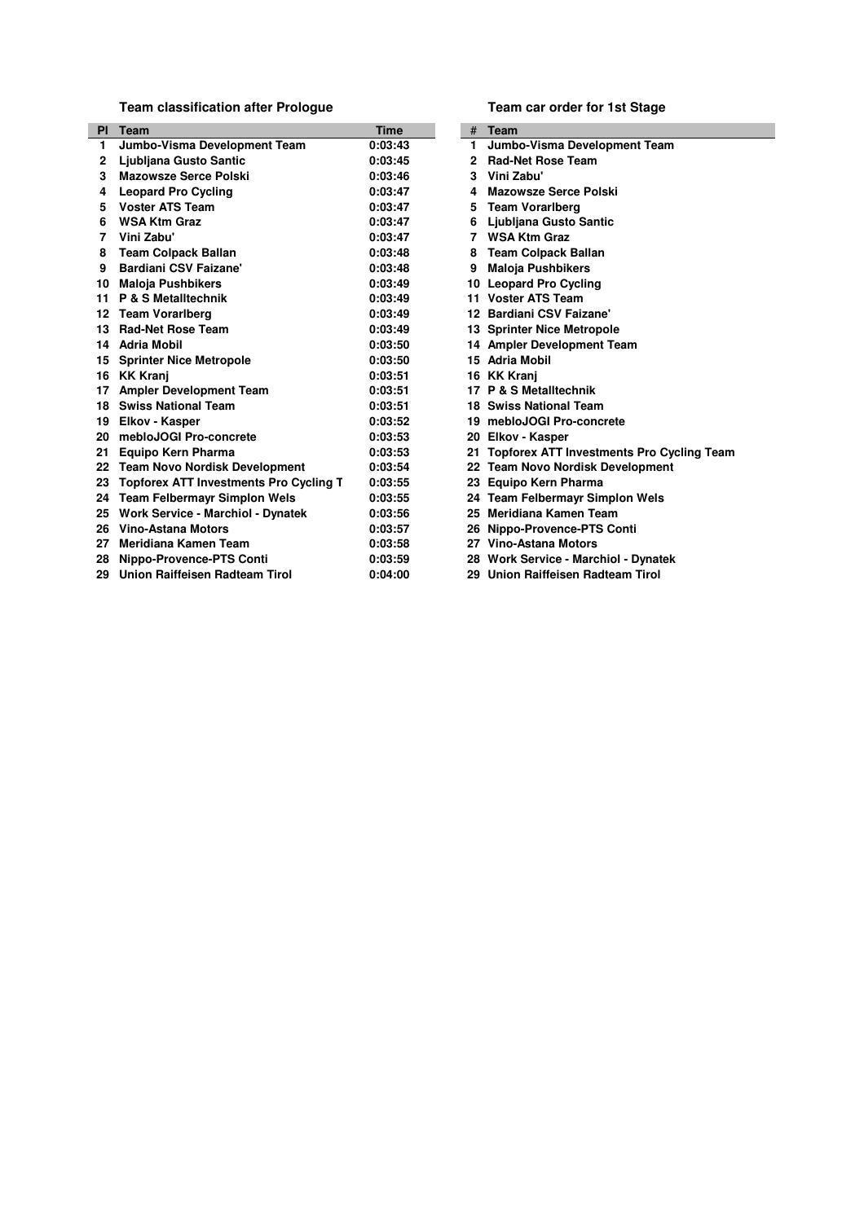**Team classification after Prologue**

| <b>PI</b> | Team                                          | <b>Time</b> |     | <b>Team</b>                                      |
|-----------|-----------------------------------------------|-------------|-----|--------------------------------------------------|
| 1         | Jumbo-Visma Development Team                  | 0:03:43     | 1.  | Jumbo-Visma Development Team                     |
| 2         | Ljubljana Gusto Santic                        | 0:03:45     | 2   | <b>Rad-Net Rose Team</b>                         |
| 3         | <b>Mazowsze Serce Polski</b>                  | 0:03:46     | 3   | Vini Zabu'                                       |
| 4         | <b>Leopard Pro Cycling</b>                    | 0:03:47     | 4   | <b>Mazowsze Serce Polski</b>                     |
| 5         | <b>Voster ATS Team</b>                        | 0:03:47     | 5   | <b>Team Vorarlberg</b>                           |
| 6         | <b>WSA Ktm Graz</b>                           | 0:03:47     | 6   | Ljubljana Gusto Santic                           |
| 7         | Vini Zabu'                                    | 0:03:47     | 7   | <b>WSA Ktm Graz</b>                              |
| 8         | <b>Team Colpack Ballan</b>                    | 0:03:48     | 8   | <b>Team Colpack Ballan</b>                       |
| 9         | <b>Bardiani CSV Faizane'</b>                  | 0:03:48     | 9   | <b>Maloja Pushbikers</b>                         |
| 10        | <b>Maloja Pushbikers</b>                      | 0:03:49     | 10  | <b>Leopard Pro Cycling</b>                       |
| 11        | <b>P &amp; S Metalltechnik</b>                | 0:03:49     | 11. | <b>Voster ATS Team</b>                           |
| 12        | <b>Team Vorarlberg</b>                        | 0:03:49     |     | 12 Bardiani CSV Faizane'                         |
| 13        | <b>Rad-Net Rose Team</b>                      | 0:03:49     |     | 13 Sprinter Nice Metropole                       |
| 14        | <b>Adria Mobil</b>                            | 0:03:50     |     | 14 Ampler Development Team                       |
| 15        | <b>Sprinter Nice Metropole</b>                | 0:03:50     |     | 15 Adria Mobil                                   |
| 16        | <b>KK Kranj</b>                               | 0:03:51     |     | 16 KK Krani                                      |
| 17        | <b>Ampler Development Team</b>                | 0:03:51     |     | 17 P & S Metalltechnik                           |
| 18        | <b>Swiss National Team</b>                    | 0:03:51     |     | 18 Swiss National Team                           |
| 19        | Elkov - Kasper                                | 0:03:52     |     | 19 mebloJOGI Pro-concrete                        |
| 20        | mebloJOGI Pro-concrete                        | 0:03:53     |     | 20 Elkov - Kasper                                |
| 21        | Equipo Kern Pharma                            | 0:03:53     | 21. | <b>Topforex ATT Investments Pro Cycling Team</b> |
| 22        | <b>Team Novo Nordisk Development</b>          | 0:03:54     |     | 22 Team Novo Nordisk Development                 |
| 23        | <b>Topforex ATT Investments Pro Cycling T</b> | 0:03:55     |     | 23 Equipo Kern Pharma                            |
|           | 24 Team Felbermayr Simplon Wels               | 0:03:55     |     | 24 Team Felbermayr Simplon Wels                  |
| 25        | Work Service - Marchiol - Dynatek             | 0:03:56     | 25. | Meridiana Kamen Team                             |
| 26        | Vino-Astana Motors                            | 0:03:57     | 26  | Nippo-Provence-PTS Conti                         |
| 27        | Meridiana Kamen Team                          | 0:03:58     |     | 27 Vino-Astana Motors                            |
| 28        | Nippo-Provence-PTS Conti                      | 0:03:59     |     | 28 Work Service - Marchiol - Dynatek             |
| 29        | Union Raiffeisen Radteam Tirol                | 0:04:00     |     | 29 Union Raiffeisen Radteam Tirol                |

**Team car order for 1st Stage**

| #  | Team                                         |
|----|----------------------------------------------|
| 1  | Jumbo-Visma Development Team                 |
|    | 2 Rad-Net Rose Team                          |
|    | 3 Vini Zabu'                                 |
|    | 4 Mazowsze Serce Polski                      |
|    | 5 Team Vorarlberg                            |
| 6  | Ljubljana Gusto Santic                       |
|    | 7 WSA Ktm Graz                               |
|    | 8 Team Colpack Ballan                        |
|    | 9 Maloja Pushbikers                          |
|    | 10 Leopard Pro Cycling                       |
|    | 11 Voster ATS Team                           |
|    | 12 Bardiani CSV Faizane'                     |
|    | <b>13 Sprinter Nice Metropole</b>            |
| 14 | <b>Ampler Development Team</b>               |
|    | 15 Adria Mobil                               |
|    | 16 KK Krani                                  |
|    | 17 P & S Metalltechnik                       |
|    | <b>18 Swiss National Team</b>                |
|    | 19 mebloJOGI Pro-concrete                    |
|    | 20 Elkov - Kasper                            |
|    | 21 Topforex ATT Investments Pro Cycling Team |
|    | 22 Team Novo Nordisk Development             |
|    | 23 Equipo Kern Pharma                        |
|    | 24 Team Felbermayr Simplon Wels              |
|    | 25 Meridiana Kamen Team                      |
|    | 26 Nippo-Provence-PTS Conti                  |
|    | 27 Vino-Astana Motors                        |
|    | 28 Work Service - Marchiol - Dynatek         |
|    | 29 Union Raiffeisen Radteam Tirol            |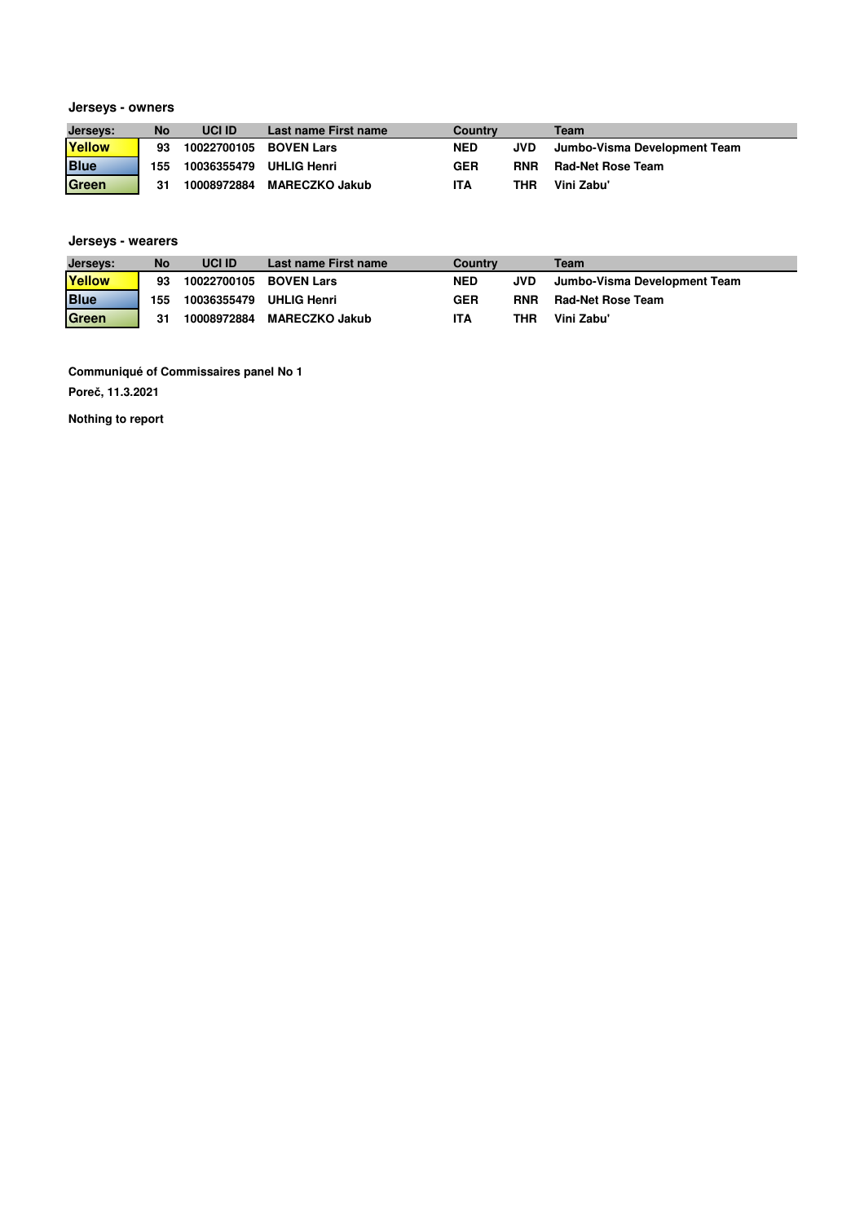#### **Jerseys - owners**

| Jerseys:    | No  | <b>UCI ID</b>           | Last name First name  | <b>Country</b> |            | Team                         |
|-------------|-----|-------------------------|-----------------------|----------------|------------|------------------------------|
| Yellow      | 93  | 10022700105             | <b>BOVEN Lars</b>     | <b>NED</b>     | JVD.       | Jumbo-Visma Development Team |
| <b>Blue</b> | 155 | 10036355479 UHLIG Henri |                       | <b>GER</b>     | <b>RNR</b> | <b>Rad-Net Rose Team</b>     |
| Green       | 31  | 10008972884             | <b>MARECZKO Jakub</b> | <b>ITA</b>     | THR        | Vini Zabu'                   |

# **Jerseys - wearers**

| Jerseys:    | No  | <b>UCI ID</b> | Last name First name  | Country    |            | Team                         |
|-------------|-----|---------------|-----------------------|------------|------------|------------------------------|
| Yellow      | 93  | 10022700105   | <b>BOVEN Lars</b>     | <b>NED</b> | JVD        | Jumbo-Visma Development Team |
| <b>Blue</b> | 155 | 10036355479   | <b>UHLIG Henri</b>    | <b>GER</b> | <b>RNR</b> | Rad-Net Rose Team            |
| Green       | 31  | 10008972884   | <b>MARECZKO Jakub</b> | ITA        | THR        | Vini Zabu'                   |

**Communiqué of Commissaires panel No 1**

**Poreč, 11.3.2021**

**Nothing to report**